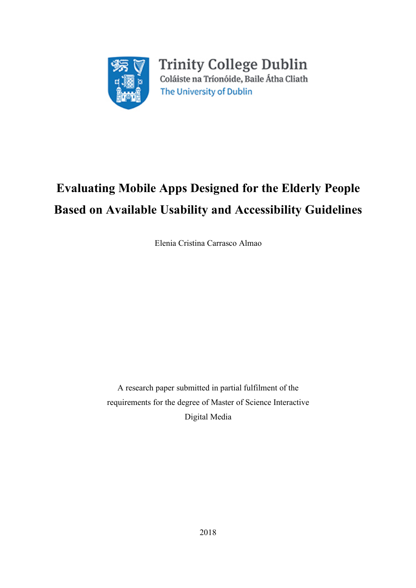

**Trinity College Dublin** Coláiste na Tríonóide, Baile Átha Cliath The University of Dublin

# **Evaluating Mobile Apps Designed for the Elderly People Based on Available Usability and Accessibility Guidelines**

Elenia Cristina Carrasco Almao

A research paper submitted in partial fulfilment of the requirements for the degree of Master of Science Interactive Digital Media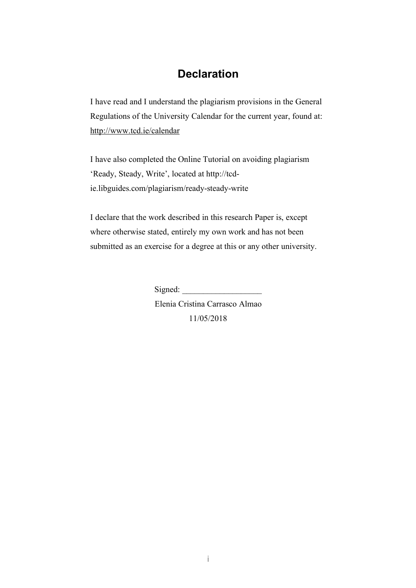### **Declaration**

I have read and I understand the plagiarism provisions in the General Regulations of the University Calendar for the current year, found at: http://www.tcd.ie/calendar

I have also completed the Online Tutorial on avoiding plagiarism 'Ready, Steady, Write', located at http://tcdie.libguides.com/plagiarism/ready-steady-write

I declare that the work described in this research Paper is, except where otherwise stated, entirely my own work and has not been submitted as an exercise for a degree at this or any other university.

Signed:

Elenia Cristina Carrasco Almao 11/05/2018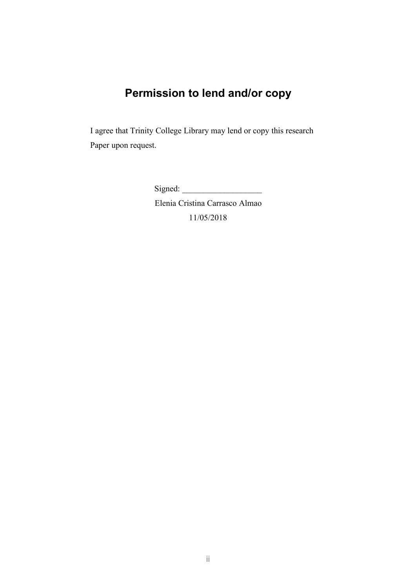## **Permission to lend and/or copy**

I agree that Trinity College Library may lend or copy this research Paper upon request.

Signed:

Elenia Cristina Carrasco Almao 11/05/2018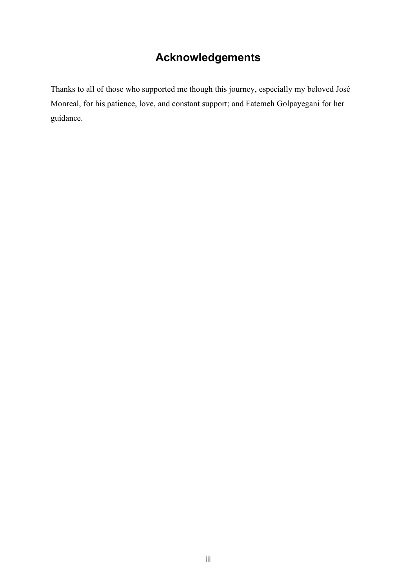## **Acknowledgements**

Thanks to all of those who supported me though this journey, especially my beloved José Monreal, for his patience, love, and constant support; and Fatemeh Golpayegani for her guidance.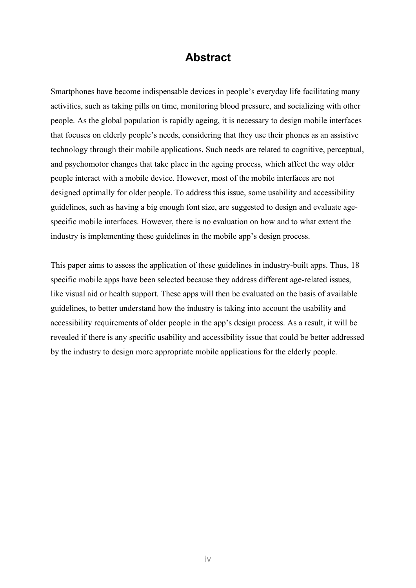### **Abstract**

Smartphones have become indispensable devices in people's everyday life facilitating many activities, such as taking pills on time, monitoring blood pressure, and socializing with other people. As the global population is rapidly ageing, it is necessary to design mobile interfaces that focuses on elderly people's needs, considering that they use their phones as an assistive technology through their mobile applications. Such needs are related to cognitive, perceptual, and psychomotor changes that take place in the ageing process, which affect the way older people interact with a mobile device. However, most of the mobile interfaces are not designed optimally for older people. To address this issue, some usability and accessibility guidelines, such as having a big enough font size, are suggested to design and evaluate agespecific mobile interfaces. However, there is no evaluation on how and to what extent the industry is implementing these guidelines in the mobile app's design process.

This paper aims to assess the application of these guidelines in industry-built apps. Thus, 18 specific mobile apps have been selected because they address different age-related issues, like visual aid or health support. These apps will then be evaluated on the basis of available guidelines, to better understand how the industry is taking into account the usability and accessibility requirements of older people in the app's design process. As a result, it will be revealed if there is any specific usability and accessibility issue that could be better addressed by the industry to design more appropriate mobile applications for the elderly people.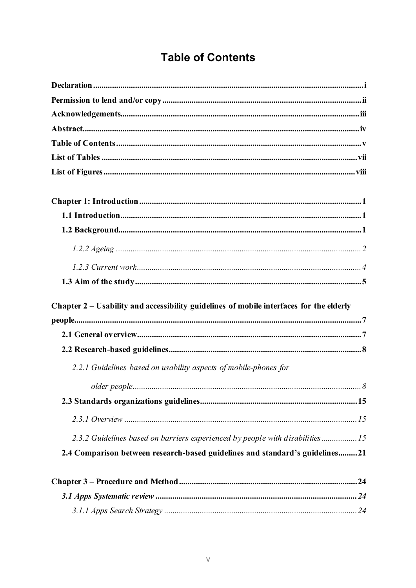## **Table of Contents**

| Chapter 2 – Usability and accessibility guidelines of mobile interfaces for the elderly |  |
|-----------------------------------------------------------------------------------------|--|
|                                                                                         |  |
|                                                                                         |  |
| 2.2.1 Guidelines based on usability aspects of mobile-phones for                        |  |
|                                                                                         |  |
|                                                                                         |  |
|                                                                                         |  |
| 2.3.2 Guidelines based on barriers experienced by people with disabilities15            |  |
| 2.4 Comparison between research-based guidelines and standard's guidelines21            |  |
|                                                                                         |  |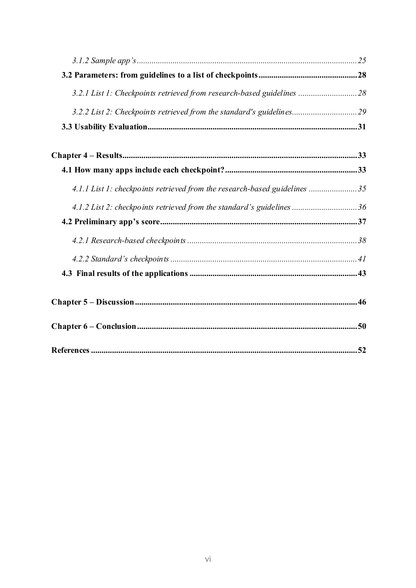| 3.2.1 List 1: Checkpoints retrieved from research-based guidelines  28    |     |
|---------------------------------------------------------------------------|-----|
| 3.2.2 List 2: Checkpoints retrieved from the standard's guidelines 29     |     |
|                                                                           |     |
|                                                                           |     |
|                                                                           |     |
| 4.1.1 List 1: checkpoints retrieved from the research-based guidelines 35 |     |
| 4.1.2 List 2: checkpoints retrieved from the standard's guidelines  36    |     |
|                                                                           |     |
|                                                                           |     |
|                                                                           |     |
|                                                                           |     |
|                                                                           |     |
|                                                                           |     |
|                                                                           | .52 |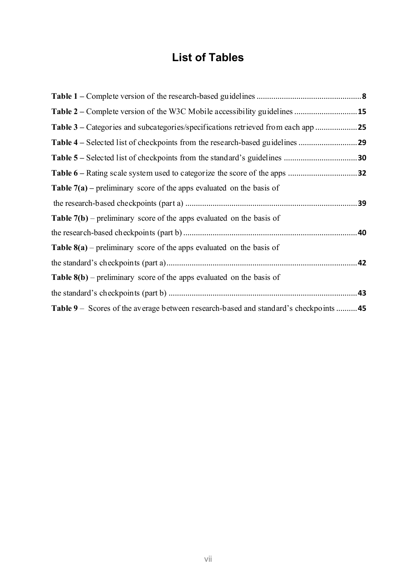## **List of Tables**

| <b>Table 7(a)</b> – preliminary score of the apps evaluated on the basis of         |  |
|-------------------------------------------------------------------------------------|--|
|                                                                                     |  |
| <b>Table 7(b)</b> – preliminary score of the apps evaluated on the basis of         |  |
|                                                                                     |  |
| <b>Table 8(a)</b> – preliminary score of the apps evaluated on the basis of         |  |
|                                                                                     |  |
| <b>Table 8(b)</b> – preliminary score of the apps evaluated on the basis of         |  |
|                                                                                     |  |
| Table 9 – Scores of the average between research-based and standard's checkpoints45 |  |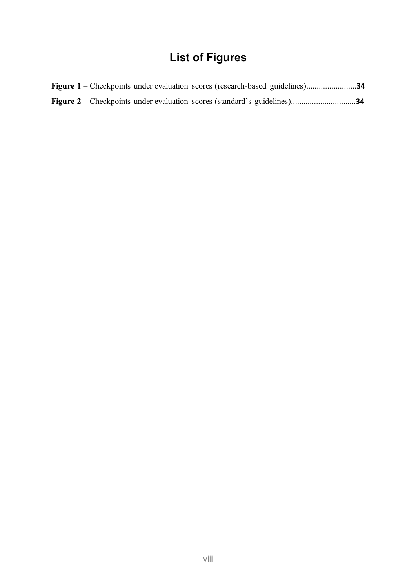## **List of Figures**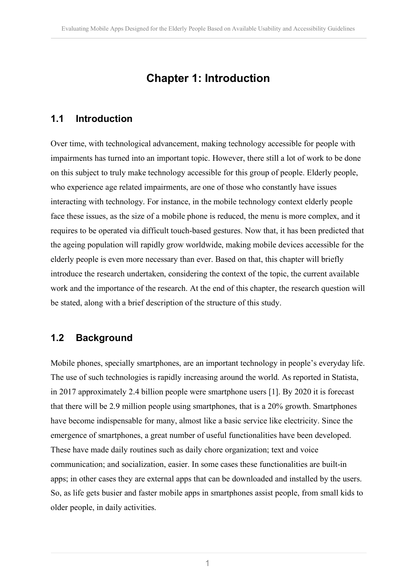## **Chapter 1: Introduction**

### **1.1 Introduction**

Over time, with technological advancement, making technology accessible for people with impairments has turned into an important topic. However, there still a lot of work to be done on this subject to truly make technology accessible for this group of people. Elderly people, who experience age related impairments, are one of those who constantly have issues interacting with technology. For instance, in the mobile technology context elderly people face these issues, as the size of a mobile phone is reduced, the menu is more complex, and it requires to be operated via difficult touch-based gestures. Now that, it has been predicted that the ageing population will rapidly grow worldwide, making mobile devices accessible for the elderly people is even more necessary than ever. Based on that, this chapter will briefly introduce the research undertaken, considering the context of the topic, the current available work and the importance of the research. At the end of this chapter, the research question will be stated, along with a brief description of the structure of this study.

### **1.2 Background**

Mobile phones, specially smartphones, are an important technology in people's everyday life. The use of such technologies is rapidly increasing around the world. As reported in Statista, in 2017 approximately 2.4 billion people were smartphone users [1]. By 2020 it is forecast that there will be 2.9 million people using smartphones, that is a 20% growth. Smartphones have become indispensable for many, almost like a basic service like electricity. Since the emergence of smartphones, a great number of useful functionalities have been developed. These have made daily routines such as daily chore organization; text and voice communication; and socialization, easier. In some cases these functionalities are built-in apps; in other cases they are external apps that can be downloaded and installed by the users. So, as life gets busier and faster mobile apps in smartphones assist people, from small kids to older people, in daily activities.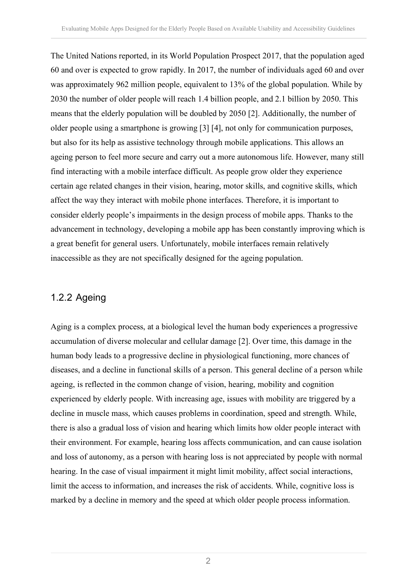The United Nations reported, in its World Population Prospect 2017, that the population aged 60 and over is expected to grow rapidly. In 2017, the number of individuals aged 60 and over was approximately 962 million people, equivalent to 13% of the global population. While by 2030 the number of older people will reach 1.4 billion people, and 2.1 billion by 2050. This means that the elderly population will be doubled by 2050 [2]. Additionally, the number of older people using a smartphone is growing [3] [4], not only for communication purposes, but also for its help as assistive technology through mobile applications. This allows an ageing person to feel more secure and carry out a more autonomous life. However, many still find interacting with a mobile interface difficult. As people grow older they experience certain age related changes in their vision, hearing, motor skills, and cognitive skills, which affect the way they interact with mobile phone interfaces. Therefore, it is important to consider elderly people's impairments in the design process of mobile apps. Thanks to the advancement in technology, developing a mobile app has been constantly improving which is a great benefit for general users. Unfortunately, mobile interfaces remain relatively inaccessible as they are not specifically designed for the ageing population.

### 1.2.2 Ageing

Aging is a complex process, at a biological level the human body experiences a progressive accumulation of diverse molecular and cellular damage [2]. Over time, this damage in the human body leads to a progressive decline in physiological functioning, more chances of diseases, and a decline in functional skills of a person. This general decline of a person while ageing, is reflected in the common change of vision, hearing, mobility and cognition experienced by elderly people. With increasing age, issues with mobility are triggered by a decline in muscle mass, which causes problems in coordination, speed and strength. While, there is also a gradual loss of vision and hearing which limits how older people interact with their environment. For example, hearing loss affects communication, and can cause isolation and loss of autonomy, as a person with hearing loss is not appreciated by people with normal hearing. In the case of visual impairment it might limit mobility, affect social interactions, limit the access to information, and increases the risk of accidents. While, cognitive loss is marked by a decline in memory and the speed at which older people process information.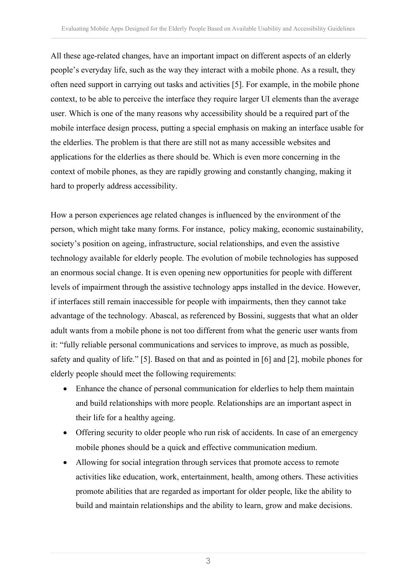All these age-related changes, have an important impact on different aspects of an elderly people's everyday life, such as the way they interact with a mobile phone. As a result, they often need support in carrying out tasks and activities [5]. For example, in the mobile phone context, to be able to perceive the interface they require larger UI elements than the average user. Which is one of the many reasons why accessibility should be a required part of the mobile interface design process, putting a special emphasis on making an interface usable for the elderlies. The problem is that there are still not as many accessible websites and applications for the elderlies as there should be. Which is even more concerning in the context of mobile phones, as they are rapidly growing and constantly changing, making it hard to properly address accessibility.

How a person experiences age related changes is influenced by the environment of the person, which might take many forms. For instance, policy making, economic sustainability, society's position on ageing, infrastructure, social relationships, and even the assistive technology available for elderly people. The evolution of mobile technologies has supposed an enormous social change. It is even opening new opportunities for people with different levels of impairment through the assistive technology apps installed in the device. However, if interfaces still remain inaccessible for people with impairments, then they cannot take advantage of the technology. Abascal, as referenced by Bossini, suggests that what an older adult wants from a mobile phone is not too different from what the generic user wants from it: "fully reliable personal communications and services to improve, as much as possible, safety and quality of life." [5]. Based on that and as pointed in [6] and [2], mobile phones for elderly people should meet the following requirements:

- Enhance the chance of personal communication for elderlies to help them maintain and build relationships with more people. Relationships are an important aspect in their life for a healthy ageing.
- Offering security to older people who run risk of accidents. In case of an emergency mobile phones should be a quick and effective communication medium.
- Allowing for social integration through services that promote access to remote activities like education, work, entertainment, health, among others. These activities promote abilities that are regarded as important for older people, like the ability to build and maintain relationships and the ability to learn, grow and make decisions.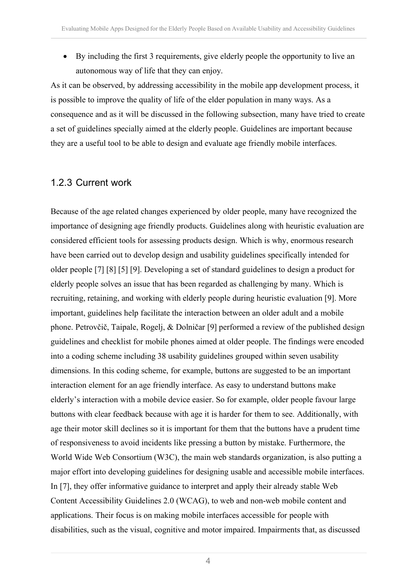• By including the first 3 requirements, give elderly people the opportunity to live an autonomous way of life that they can enjoy.

As it can be observed, by addressing accessibility in the mobile app development process, it is possible to improve the quality of life of the elder population in many ways. As a consequence and as it will be discussed in the following subsection, many have tried to create a set of guidelines specially aimed at the elderly people. Guidelines are important because they are a useful tool to be able to design and evaluate age friendly mobile interfaces.

### 1.2.3 Current work

Because of the age related changes experienced by older people, many have recognized the importance of designing age friendly products. Guidelines along with heuristic evaluation are considered efficient tools for assessing products design. Which is why, enormous research have been carried out to develop design and usability guidelines specifically intended for older people [7] [8] [5] [9]. Developing a set of standard guidelines to design a product for elderly people solves an issue that has been regarded as challenging by many. Which is recruiting, retaining, and working with elderly people during heuristic evaluation [9]. More important, guidelines help facilitate the interaction between an older adult and a mobile phone. Petrovčič, Taipale, Rogelj, & Dolničar [9] performed a review of the published design guidelines and checklist for mobile phones aimed at older people. The findings were encoded into a coding scheme including 38 usability guidelines grouped within seven usability dimensions. In this coding scheme, for example, buttons are suggested to be an important interaction element for an age friendly interface. As easy to understand buttons make elderly's interaction with a mobile device easier. So for example, older people favour large buttons with clear feedback because with age it is harder for them to see. Additionally, with age their motor skill declines so it is important for them that the buttons have a prudent time of responsiveness to avoid incidents like pressing a button by mistake. Furthermore, the World Wide Web Consortium (W3C), the main web standards organization, is also putting a major effort into developing guidelines for designing usable and accessible mobile interfaces. In [7], they offer informative guidance to interpret and apply their already stable Web Content Accessibility Guidelines 2.0 (WCAG), to web and non-web mobile content and applications. Their focus is on making mobile interfaces accessible for people with disabilities, such as the visual, cognitive and motor impaired. Impairments that, as discussed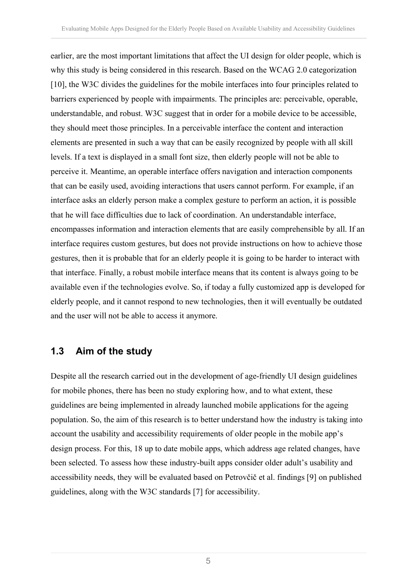earlier, are the most important limitations that affect the UI design for older people, which is why this study is being considered in this research. Based on the WCAG 2.0 categorization [10], the W3C divides the guidelines for the mobile interfaces into four principles related to barriers experienced by people with impairments. The principles are: perceivable, operable, understandable, and robust. W3C suggest that in order for a mobile device to be accessible, they should meet those principles. In a perceivable interface the content and interaction elements are presented in such a way that can be easily recognized by people with all skill levels. If a text is displayed in a small font size, then elderly people will not be able to perceive it. Meantime, an operable interface offers navigation and interaction components that can be easily used, avoiding interactions that users cannot perform. For example, if an interface asks an elderly person make a complex gesture to perform an action, it is possible that he will face difficulties due to lack of coordination. An understandable interface, encompasses information and interaction elements that are easily comprehensible by all. If an interface requires custom gestures, but does not provide instructions on how to achieve those gestures, then it is probable that for an elderly people it is going to be harder to interact with that interface. Finally, a robust mobile interface means that its content is always going to be available even if the technologies evolve. So, if today a fully customized app is developed for elderly people, and it cannot respond to new technologies, then it will eventually be outdated and the user will not be able to access it anymore.

### **1.3 Aim of the study**

Despite all the research carried out in the development of age-friendly UI design guidelines for mobile phones, there has been no study exploring how, and to what extent, these guidelines are being implemented in already launched mobile applications for the ageing population. So, the aim of this research is to better understand how the industry is taking into account the usability and accessibility requirements of older people in the mobile app's design process. For this, 18 up to date mobile apps, which address age related changes, have been selected. To assess how these industry-built apps consider older adult's usability and accessibility needs, they will be evaluated based on Petrovčič et al. findings [9] on published guidelines, along with the W3C standards [7] for accessibility.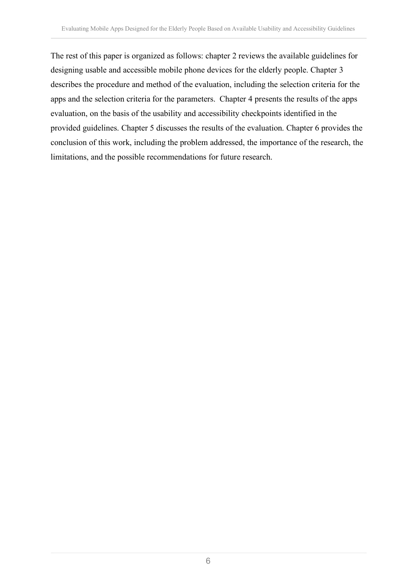The rest of this paper is organized as follows: chapter 2 reviews the available guidelines for designing usable and accessible mobile phone devices for the elderly people. Chapter 3 describes the procedure and method of the evaluation, including the selection criteria for the apps and the selection criteria for the parameters. Chapter 4 presents the results of the apps evaluation, on the basis of the usability and accessibility checkpoints identified in the provided guidelines. Chapter 5 discusses the results of the evaluation. Chapter 6 provides the conclusion of this work, including the problem addressed, the importance of the research, the limitations, and the possible recommendations for future research.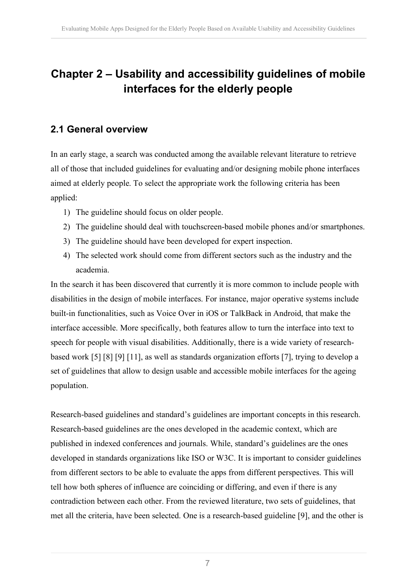## **Chapter 2 – Usability and accessibility guidelines of mobile interfaces for the elderly people**

### **2.1 General overview**

In an early stage, a search was conducted among the available relevant literature to retrieve all of those that included guidelines for evaluating and/or designing mobile phone interfaces aimed at elderly people. To select the appropriate work the following criteria has been applied:

- 1) The guideline should focus on older people.
- 2) The guideline should deal with touchscreen-based mobile phones and/or smartphones.
- 3) The guideline should have been developed for expert inspection.
- 4) The selected work should come from different sectors such as the industry and the academia.

In the search it has been discovered that currently it is more common to include people with disabilities in the design of mobile interfaces. For instance, major operative systems include built-in functionalities, such as Voice Over in iOS or TalkBack in Android, that make the interface accessible. More specifically, both features allow to turn the interface into text to speech for people with visual disabilities. Additionally, there is a wide variety of researchbased work [5] [8] [9] [11], as well as standards organization efforts [7], trying to develop a set of guidelines that allow to design usable and accessible mobile interfaces for the ageing population.

Research-based guidelines and standard's guidelines are important concepts in this research. Research-based guidelines are the ones developed in the academic context, which are published in indexed conferences and journals. While, standard's guidelines are the ones developed in standards organizations like ISO or W3C. It is important to consider guidelines from different sectors to be able to evaluate the apps from different perspectives. This will tell how both spheres of influence are coinciding or differing, and even if there is any contradiction between each other. From the reviewed literature, two sets of guidelines, that met all the criteria, have been selected. One is a research-based guideline [9], and the other is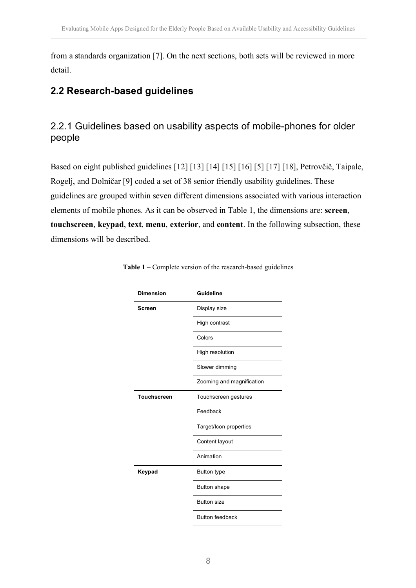from a standards organization [7]. On the next sections, both sets will be reviewed in more detail.

### **2.2 Research-based guidelines**

### 2.2.1 Guidelines based on usability aspects of mobile-phones for older people

Based on eight published guidelines [12] [13] [14] [15] [16] [5] [17] [18], Petrovčič, Taipale, Rogelj, and Dolničar [9] coded a set of 38 senior friendly usability guidelines. These guidelines are grouped within seven different dimensions associated with various interaction elements of mobile phones. As it can be observed in Table 1, the dimensions are: **screen**, **touchscreen**, **keypad**, **text**, **menu**, **exterior**, and **content**. In the following subsection, these dimensions will be described.

| <b>Dimension</b>   | Guideline                 |
|--------------------|---------------------------|
| Screen             | Display size              |
|                    | High contrast             |
|                    | Colors                    |
|                    | High resolution           |
|                    | Slower dimming            |
|                    | Zooming and magnification |
| <b>Touchscreen</b> | Touchscreen gestures      |
|                    | Feedback                  |
|                    | Target/Icon properties    |
|                    | Content layout            |
|                    | Animation                 |
| Keypad             | <b>Button type</b>        |
|                    | <b>Button shape</b>       |
|                    | <b>Button size</b>        |
|                    | <b>Button feedback</b>    |

|  |  | <b>Table 1</b> – Complete version of the research-based guidelines |  |
|--|--|--------------------------------------------------------------------|--|
|  |  |                                                                    |  |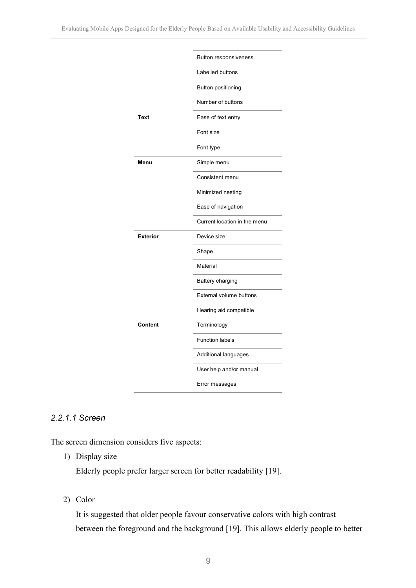|                 | Button responsiveness        |
|-----------------|------------------------------|
|                 | Labelled buttons             |
|                 | Button positioning           |
|                 | Number of buttons            |
| Text            | Ease of text entry           |
|                 | Font size                    |
|                 | Font type                    |
| Menu            | Simple menu                  |
|                 | Consistent menu              |
|                 | Minimized nesting            |
|                 | Ease of navigation           |
|                 | Current location in the menu |
| <b>Exterior</b> | Device size                  |
|                 | Shape                        |
|                 | Material                     |
|                 | Battery charging             |
|                 | External volume buttons      |
|                 | Hearing aid compatible       |
| Content         | Terminology                  |
|                 | <b>Function labels</b>       |
|                 | Additional languages         |
|                 | User help and/or manual      |
|                 | Error messages               |

### *2.2.1.1 Screen*

The screen dimension considers five aspects:

1) Display size

Elderly people prefer larger screen for better readability [19].

2) Color

It is suggested that older people favour conservative colors with high contrast between the foreground and the background [19]. This allows elderly people to better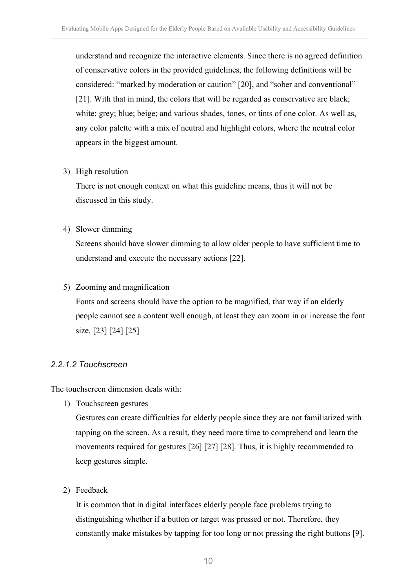understand and recognize the interactive elements. Since there is no agreed definition of conservative colors in the provided guidelines, the following definitions will be considered: "marked by moderation or caution" [20], and "sober and conventional" [21]. With that in mind, the colors that will be regarded as conservative are black; white; grey; blue; beige; and various shades, tones, or tints of one color. As well as, any color palette with a mix of neutral and highlight colors, where the neutral color appears in the biggest amount.

3) High resolution

There is not enough context on what this guideline means, thus it will not be discussed in this study.

4) Slower dimming

Screens should have slower dimming to allow older people to have sufficient time to understand and execute the necessary actions [22].

5) Zooming and magnification

Fonts and screens should have the option to be magnified, that way if an elderly people cannot see a content well enough, at least they can zoom in or increase the font size. [23] [24] [25]

#### *2.2.1.2 Touchscreen*

The touchscreen dimension deals with:

1) Touchscreen gestures

Gestures can create difficulties for elderly people since they are not familiarized with tapping on the screen. As a result, they need more time to comprehend and learn the movements required for gestures [26] [27] [28]. Thus, it is highly recommended to keep gestures simple.

2) Feedback

It is common that in digital interfaces elderly people face problems trying to distinguishing whether if a button or target was pressed or not. Therefore, they constantly make mistakes by tapping for too long or not pressing the right buttons [9].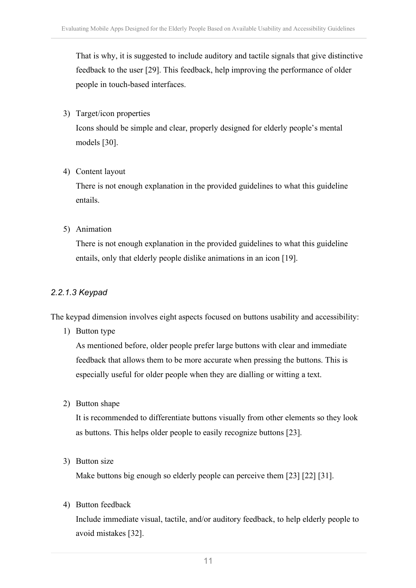That is why, it is suggested to include auditory and tactile signals that give distinctive feedback to the user [29]. This feedback, help improving the performance of older people in touch-based interfaces.

3) Target/icon properties

Icons should be simple and clear, properly designed for elderly people's mental models [30].

4) Content layout

There is not enough explanation in the provided guidelines to what this guideline entails.

5) Animation

There is not enough explanation in the provided guidelines to what this guideline entails, only that elderly people dislike animations in an icon [19].

#### *2.2.1.3 Keypad*

The keypad dimension involves eight aspects focused on buttons usability and accessibility:

1) Button type

As mentioned before, older people prefer large buttons with clear and immediate feedback that allows them to be more accurate when pressing the buttons. This is especially useful for older people when they are dialling or witting a text.

2) Button shape

It is recommended to differentiate buttons visually from other elements so they look as buttons. This helps older people to easily recognize buttons [23].

3) Button size

Make buttons big enough so elderly people can perceive them [23] [22] [31].

4) Button feedback

Include immediate visual, tactile, and/or auditory feedback, to help elderly people to avoid mistakes [32].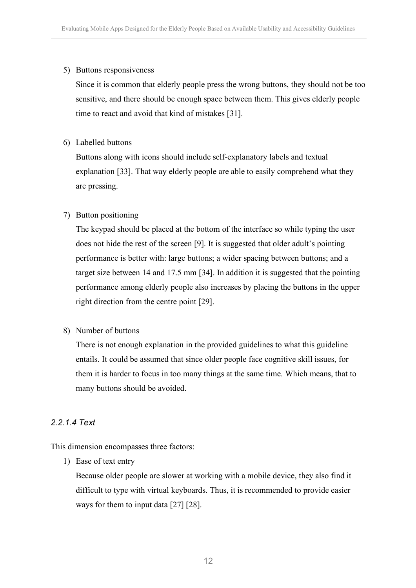#### 5) Buttons responsiveness

Since it is common that elderly people press the wrong buttons, they should not be too sensitive, and there should be enough space between them. This gives elderly people time to react and avoid that kind of mistakes [31].

#### 6) Labelled buttons

Buttons along with icons should include self-explanatory labels and textual explanation [33]. That way elderly people are able to easily comprehend what they are pressing.

#### 7) Button positioning

The keypad should be placed at the bottom of the interface so while typing the user does not hide the rest of the screen [9]. It is suggested that older adult's pointing performance is better with: large buttons; a wider spacing between buttons; and a target size between 14 and 17.5 mm [34]. In addition it is suggested that the pointing performance among elderly people also increases by placing the buttons in the upper right direction from the centre point [29].

#### 8) Number of buttons

There is not enough explanation in the provided guidelines to what this guideline entails. It could be assumed that since older people face cognitive skill issues, for them it is harder to focus in too many things at the same time. Which means, that to many buttons should be avoided.

#### *2.2.1.4 Text*

This dimension encompasses three factors:

1) Ease of text entry

Because older people are slower at working with a mobile device, they also find it difficult to type with virtual keyboards. Thus, it is recommended to provide easier ways for them to input data [27] [28].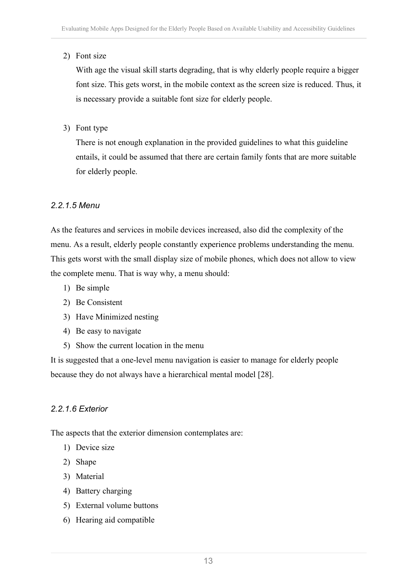#### 2) Font size

With age the visual skill starts degrading, that is why elderly people require a bigger font size. This gets worst, in the mobile context as the screen size is reduced. Thus, it is necessary provide a suitable font size for elderly people.

#### 3) Font type

There is not enough explanation in the provided guidelines to what this guideline entails, it could be assumed that there are certain family fonts that are more suitable for elderly people.

#### *2.2.1.5 Menu*

As the features and services in mobile devices increased, also did the complexity of the menu. As a result, elderly people constantly experience problems understanding the menu. This gets worst with the small display size of mobile phones, which does not allow to view the complete menu. That is way why, a menu should:

- 1) Be simple
- 2) Be Consistent
- 3) Have Minimized nesting
- 4) Be easy to navigate
- 5) Show the current location in the menu

It is suggested that a one-level menu navigation is easier to manage for elderly people because they do not always have a hierarchical mental model [28].

#### *2.2.1.6 Exterior*

The aspects that the exterior dimension contemplates are:

- 1) Device size
- 2) Shape
- 3) Material
- 4) Battery charging
- 5) External volume buttons
- 6) Hearing aid compatible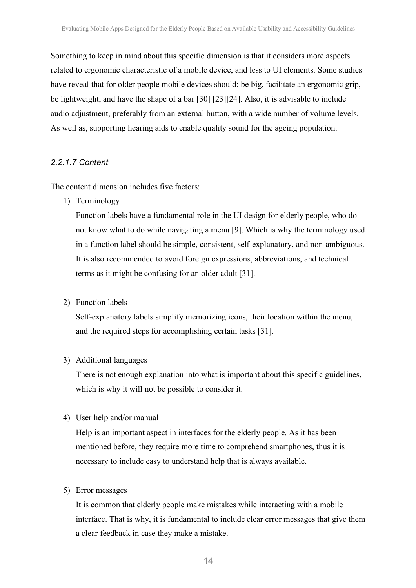Something to keep in mind about this specific dimension is that it considers more aspects related to ergonomic characteristic of a mobile device, and less to UI elements. Some studies have reveal that for older people mobile devices should: be big, facilitate an ergonomic grip, be lightweight, and have the shape of a bar [30] [23][24]. Also, it is advisable to include audio adjustment, preferably from an external button, with a wide number of volume levels. As well as, supporting hearing aids to enable quality sound for the ageing population.

#### *2.2.1.7 Content*

The content dimension includes five factors:

1) Terminology

Function labels have a fundamental role in the UI design for elderly people, who do not know what to do while navigating a menu [9]. Which is why the terminology used in a function label should be simple, consistent, self-explanatory, and non-ambiguous. It is also recommended to avoid foreign expressions, abbreviations, and technical terms as it might be confusing for an older adult [31].

2) Function labels

Self-explanatory labels simplify memorizing icons, their location within the menu, and the required steps for accomplishing certain tasks [31].

#### 3) Additional languages

There is not enough explanation into what is important about this specific guidelines, which is why it will not be possible to consider it.

4) User help and/or manual

Help is an important aspect in interfaces for the elderly people. As it has been mentioned before, they require more time to comprehend smartphones, thus it is necessary to include easy to understand help that is always available.

#### 5) Error messages

It is common that elderly people make mistakes while interacting with a mobile interface. That is why, it is fundamental to include clear error messages that give them a clear feedback in case they make a mistake.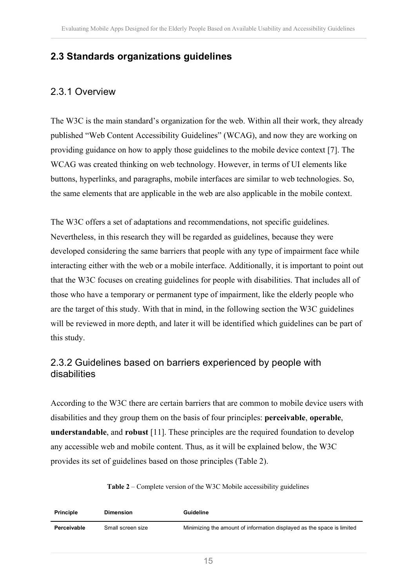### **2.3 Standards organizations guidelines**

### 2.3.1 Overview

The W3C is the main standard's organization for the web. Within all their work, they already published "Web Content Accessibility Guidelines" (WCAG), and now they are working on providing guidance on how to apply those guidelines to the mobile device context [7]. The WCAG was created thinking on web technology. However, in terms of UI elements like buttons, hyperlinks, and paragraphs, mobile interfaces are similar to web technologies. So, the same elements that are applicable in the web are also applicable in the mobile context.

The W3C offers a set of adaptations and recommendations, not specific guidelines. Nevertheless, in this research they will be regarded as guidelines, because they were developed considering the same barriers that people with any type of impairment face while interacting either with the web or a mobile interface. Additionally, it is important to point out that the W3C focuses on creating guidelines for people with disabilities. That includes all of those who have a temporary or permanent type of impairment, like the elderly people who are the target of this study. With that in mind, in the following section the W3C guidelines will be reviewed in more depth, and later it will be identified which guidelines can be part of this study.

### 2.3.2 Guidelines based on barriers experienced by people with disabilities

According to the W3C there are certain barriers that are common to mobile device users with disabilities and they group them on the basis of four principles: **perceivable**, **operable**, **understandable**, and **robust** [11]. These principles are the required foundation to develop any accessible web and mobile content. Thus, as it will be explained below, the W3C provides its set of guidelines based on those principles (Table 2).

#### **Table 2** – Complete version of the W3C Mobile accessibility guidelines

| <b>Principle</b> | <b>Dimension</b>  | Guideline                                                              |
|------------------|-------------------|------------------------------------------------------------------------|
| Perceivable      | Small screen size | Minimizing the amount of information displayed as the space is limited |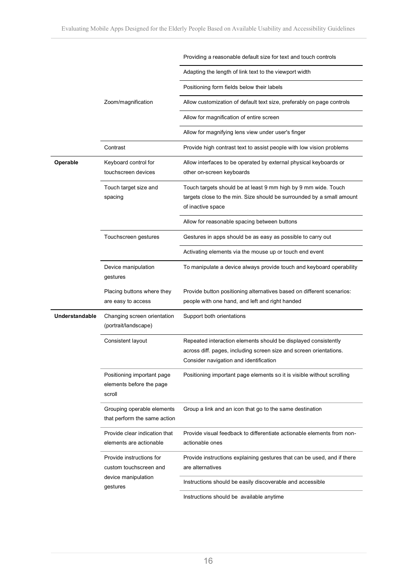|                |                                                                  | Providing a reasonable default size for text and touch controls                                                                                                                |
|----------------|------------------------------------------------------------------|--------------------------------------------------------------------------------------------------------------------------------------------------------------------------------|
|                |                                                                  | Adapting the length of link text to the viewport width                                                                                                                         |
|                |                                                                  | Positioning form fields below their labels                                                                                                                                     |
|                | Zoom/magnification                                               | Allow customization of default text size, preferably on page controls                                                                                                          |
|                |                                                                  | Allow for magnification of entire screen                                                                                                                                       |
|                |                                                                  | Allow for magnifying lens view under user's finger                                                                                                                             |
|                | Contrast                                                         | Provide high contrast text to assist people with low vision problems                                                                                                           |
| Operable       | Keyboard control for<br>touchscreen devices                      | Allow interfaces to be operated by external physical keyboards or<br>other on-screen keyboards                                                                                 |
|                | Touch target size and<br>spacing                                 | Touch targets should be at least 9 mm high by 9 mm wide. Touch<br>targets close to the min. Size should be surrounded by a small amount<br>of inactive space                   |
|                |                                                                  | Allow for reasonable spacing between buttons                                                                                                                                   |
|                | Touchscreen gestures                                             | Gestures in apps should be as easy as possible to carry out                                                                                                                    |
|                |                                                                  | Activating elements via the mouse up or touch end event                                                                                                                        |
|                | Device manipulation<br>gestures                                  | To manipulate a device always provide touch and keyboard operability                                                                                                           |
|                | Placing buttons where they<br>are easy to access                 | Provide button positioning alternatives based on different scenarios:<br>people with one hand, and left and right handed                                                       |
| Understandable | Changing screen orientation<br>(portrait/landscape)              | Support both orientations                                                                                                                                                      |
|                | Consistent layout                                                | Repeated interaction elements should be displayed consistently<br>across diff. pages, including screen size and screen orientations.<br>Consider navigation and identification |
|                | Positioning important page<br>elements before the page<br>scroll | Positioning important page elements so it is visible without scrolling                                                                                                         |
|                | Grouping operable elements<br>that perform the same action       | Group a link and an icon that go to the same destination                                                                                                                       |
|                | Provide clear indication that<br>elements are actionable         | Provide visual feedback to differentiate actionable elements from non-<br>actionable ones                                                                                      |
|                | Provide instructions for<br>custom touchscreen and               | Provide instructions explaining gestures that can be used, and if there<br>are alternatives                                                                                    |
|                | device manipulation<br>gestures                                  | Instructions should be easily discoverable and accessible                                                                                                                      |
|                |                                                                  | Instructions should be available anytime                                                                                                                                       |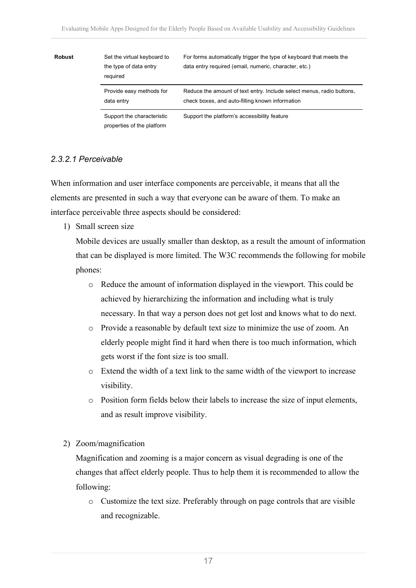| <b>Robust</b> | Set the virtual keyboard to<br>the type of data entry<br>required | For forms automatically trigger the type of keyboard that meets the<br>data entry required (email, numeric, character, etc.) |
|---------------|-------------------------------------------------------------------|------------------------------------------------------------------------------------------------------------------------------|
|               | Provide easy methods for<br>data entry                            | Reduce the amount of text entry. Include select menus, radio buttons,<br>check boxes, and auto-filling known information     |
|               | Support the characteristic<br>properties of the platform          | Support the platform's accessibility feature                                                                                 |

#### *2.3.2.1 Perceivable*

When information and user interface components are perceivable, it means that all the elements are presented in such a way that everyone can be aware of them. To make an interface perceivable three aspects should be considered:

1) Small screen size

Mobile devices are usually smaller than desktop, as a result the amount of information that can be displayed is more limited. The W3C recommends the following for mobile phones:

- o Reduce the amount of information displayed in the viewport. This could be achieved by hierarchizing the information and including what is truly necessary. In that way a person does not get lost and knows what to do next.
- o Provide a reasonable by default text size to minimize the use of zoom. An elderly people might find it hard when there is too much information, which gets worst if the font size is too small.
- o Extend the width of a text link to the same width of the viewport to increase visibility.
- o Position form fields below their labels to increase the size of input elements, and as result improve visibility.
- 2) Zoom/magnification

Magnification and zooming is a major concern as visual degrading is one of the changes that affect elderly people. Thus to help them it is recommended to allow the following:

o Customize the text size. Preferably through on page controls that are visible and recognizable.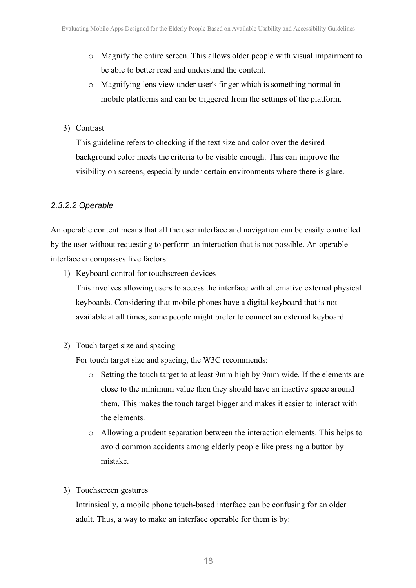- o Magnify the entire screen. This allows older people with visual impairment to be able to better read and understand the content.
- o Magnifying lens view under user's finger which is something normal in mobile platforms and can be triggered from the settings of the platform.
- 3) Contrast

This guideline refers to checking if the text size and color over the desired background color meets the criteria to be visible enough. This can improve the visibility on screens, especially under certain environments where there is glare.

### *2.3.2.2 Operable*

An operable content means that all the user interface and navigation can be easily controlled by the user without requesting to perform an interaction that is not possible. An operable interface encompasses five factors:

1) Keyboard control for touchscreen devices

This involves allowing users to access the interface with alternative external physical keyboards. Considering that mobile phones have a digital keyboard that is not available at all times, some people might prefer to connect an external keyboard.

2) Touch target size and spacing

For touch target size and spacing, the W3C recommends:

- o Setting the touch target to at least 9mm high by 9mm wide. If the elements are close to the minimum value then they should have an inactive space around them. This makes the touch target bigger and makes it easier to interact with the elements.
- o Allowing a prudent separation between the interaction elements. This helps to avoid common accidents among elderly people like pressing a button by mistake.

### 3) Touchscreen gestures

Intrinsically, a mobile phone touch-based interface can be confusing for an older adult. Thus, a way to make an interface operable for them is by: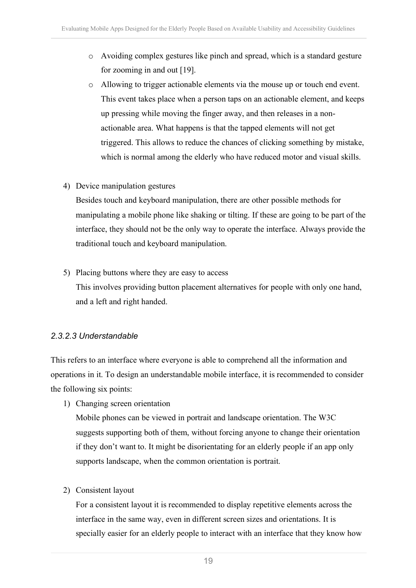- o Avoiding complex gestures like pinch and spread, which is a standard gesture for zooming in and out [19].
- o Allowing to trigger actionable elements via the mouse up or touch end event. This event takes place when a person taps on an actionable element, and keeps up pressing while moving the finger away, and then releases in a nonactionable area. What happens is that the tapped elements will not get triggered. This allows to reduce the chances of clicking something by mistake, which is normal among the elderly who have reduced motor and visual skills.
- 4) Device manipulation gestures

Besides touch and keyboard manipulation, there are other possible methods for manipulating a mobile phone like shaking or tilting. If these are going to be part of the interface, they should not be the only way to operate the interface. Always provide the traditional touch and keyboard manipulation.

5) Placing buttons where they are easy to access

This involves providing button placement alternatives for people with only one hand, and a left and right handed.

#### *2.3.2.3 Understandable*

This refers to an interface where everyone is able to comprehend all the information and operations in it. To design an understandable mobile interface, it is recommended to consider the following six points:

1) Changing screen orientation

Mobile phones can be viewed in portrait and landscape orientation. The W3C suggests supporting both of them, without forcing anyone to change their orientation if they don't want to. It might be disorientating for an elderly people if an app only supports landscape, when the common orientation is portrait.

2) Consistent layout

For a consistent layout it is recommended to display repetitive elements across the interface in the same way, even in different screen sizes and orientations. It is specially easier for an elderly people to interact with an interface that they know how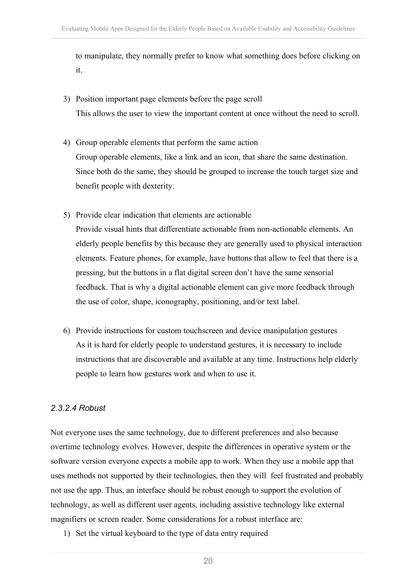to manipulate, they normally prefer to know what something does before clicking on it.

- 3) Position important page elements before the page scroll This allows the user to view the important content at once without the need to scroll.
- 4) Group operable elements that perform the same action Group operable elements, like a link and an icon, that share the same destination. Since both do the same, they should be grouped to increase the touch target size and benefit people with dexterity.
- 5) Provide clear indication that elements are actionable Provide visual hints that differentiate actionable from non-actionable elements. An elderly people benefits by this because they are generally used to physical interaction elements. Feature phones, for example, have buttons that allow to feel that there is a pressing, but the buttons in a flat digital screen don't have the same sensorial feedback. That is why a digital actionable element can give more feedback through the use of color, shape, iconography, positioning, and/or text label.
- 6) Provide instructions for custom touchscreen and device manipulation gestures As it is hard for elderly people to understand gestures, it is necessary to include instructions that are discoverable and available at any time. Instructions help elderly people to learn how gestures work and when to use it.

### *2.3.2.4 Robust*

Not everyone uses the same technology, due to different preferences and also because overtime technology evolves. However, despite the differences in operative system or the software version everyone expects a mobile app to work. When they use a mobile app that uses methods not supported by their technologies, then they will feel frustrated and probably not use the app. Thus, an interface should be robust enough to support the evolution of technology, as well as different user agents, including assistive technology like external magnifiers or screen reader. Some considerations for a robust interface are:

1) Set the virtual keyboard to the type of data entry required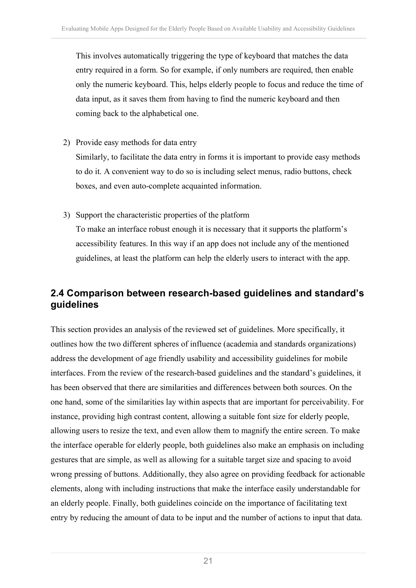This involves automatically triggering the type of keyboard that matches the data entry required in a form. So for example, if only numbers are required, then enable only the numeric keyboard. This, helps elderly people to focus and reduce the time of data input, as it saves them from having to find the numeric keyboard and then coming back to the alphabetical one.

2) Provide easy methods for data entry

Similarly, to facilitate the data entry in forms it is important to provide easy methods to do it. A convenient way to do so is including select menus, radio buttons, check boxes, and even auto-complete acquainted information.

3) Support the characteristic properties of the platform

To make an interface robust enough it is necessary that it supports the platform's accessibility features. In this way if an app does not include any of the mentioned guidelines, at least the platform can help the elderly users to interact with the app.

### **2.4 Comparison between research-based guidelines and standard's guidelines**

This section provides an analysis of the reviewed set of guidelines. More specifically, it outlines how the two different spheres of influence (academia and standards organizations) address the development of age friendly usability and accessibility guidelines for mobile interfaces. From the review of the research-based guidelines and the standard's guidelines, it has been observed that there are similarities and differences between both sources. On the one hand, some of the similarities lay within aspects that are important for perceivability. For instance, providing high contrast content, allowing a suitable font size for elderly people, allowing users to resize the text, and even allow them to magnify the entire screen. To make the interface operable for elderly people, both guidelines also make an emphasis on including gestures that are simple, as well as allowing for a suitable target size and spacing to avoid wrong pressing of buttons. Additionally, they also agree on providing feedback for actionable elements, along with including instructions that make the interface easily understandable for an elderly people. Finally, both guidelines coincide on the importance of facilitating text entry by reducing the amount of data to be input and the number of actions to input that data.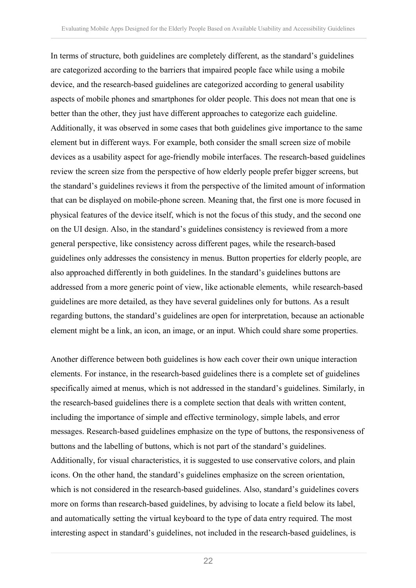In terms of structure, both guidelines are completely different, as the standard's guidelines are categorized according to the barriers that impaired people face while using a mobile device, and the research-based guidelines are categorized according to general usability aspects of mobile phones and smartphones for older people. This does not mean that one is better than the other, they just have different approaches to categorize each guideline. Additionally, it was observed in some cases that both guidelines give importance to the same element but in different ways. For example, both consider the small screen size of mobile devices as a usability aspect for age-friendly mobile interfaces. The research-based guidelines review the screen size from the perspective of how elderly people prefer bigger screens, but the standard's guidelines reviews it from the perspective of the limited amount of information that can be displayed on mobile-phone screen. Meaning that, the first one is more focused in physical features of the device itself, which is not the focus of this study, and the second one on the UI design. Also, in the standard's guidelines consistency is reviewed from a more general perspective, like consistency across different pages, while the research-based guidelines only addresses the consistency in menus. Button properties for elderly people, are also approached differently in both guidelines. In the standard's guidelines buttons are addressed from a more generic point of view, like actionable elements, while research-based guidelines are more detailed, as they have several guidelines only for buttons. As a result regarding buttons, the standard's guidelines are open for interpretation, because an actionable element might be a link, an icon, an image, or an input. Which could share some properties.

Another difference between both guidelines is how each cover their own unique interaction elements. For instance, in the research-based guidelines there is a complete set of guidelines specifically aimed at menus, which is not addressed in the standard's guidelines. Similarly, in the research-based guidelines there is a complete section that deals with written content, including the importance of simple and effective terminology, simple labels, and error messages. Research-based guidelines emphasize on the type of buttons, the responsiveness of buttons and the labelling of buttons, which is not part of the standard's guidelines. Additionally, for visual characteristics, it is suggested to use conservative colors, and plain icons. On the other hand, the standard's guidelines emphasize on the screen orientation, which is not considered in the research-based guidelines. Also, standard's guidelines covers more on forms than research-based guidelines, by advising to locate a field below its label, and automatically setting the virtual keyboard to the type of data entry required. The most interesting aspect in standard's guidelines, not included in the research-based guidelines, is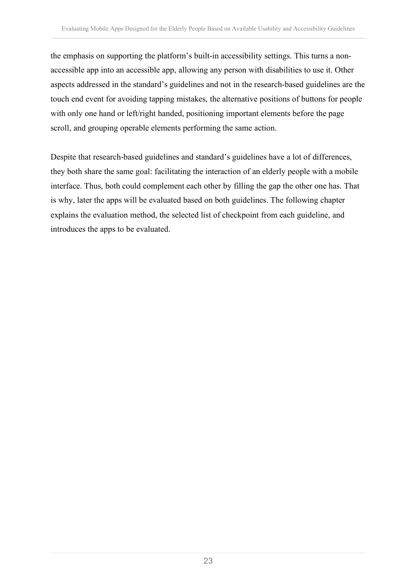the emphasis on supporting the platform's built-in accessibility settings. This turns a nonaccessible app into an accessible app, allowing any person with disabilities to use it. Other aspects addressed in the standard's guidelines and not in the research-based guidelines are the touch end event for avoiding tapping mistakes, the alternative positions of buttons for people with only one hand or left/right handed, positioning important elements before the page scroll, and grouping operable elements performing the same action.

Despite that research-based guidelines and standard's guidelines have a lot of differences, they both share the same goal: facilitating the interaction of an elderly people with a mobile interface. Thus, both could complement each other by filling the gap the other one has. That is why, later the apps will be evaluated based on both guidelines. The following chapter explains the evaluation method, the selected list of checkpoint from each guideline, and introduces the apps to be evaluated.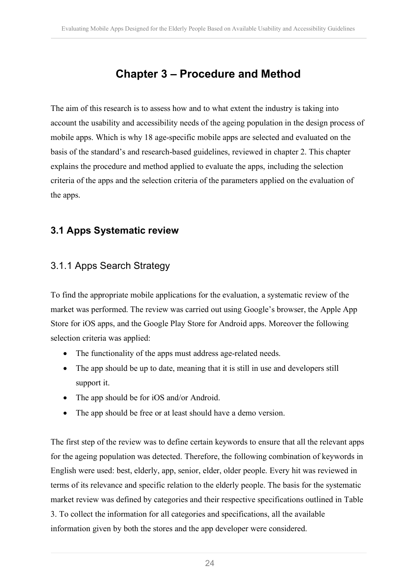## **Chapter 3 – Procedure and Method**

The aim of this research is to assess how and to what extent the industry is taking into account the usability and accessibility needs of the ageing population in the design process of mobile apps. Which is why 18 age-specific mobile apps are selected and evaluated on the basis of the standard's and research-based guidelines, reviewed in chapter 2. This chapter explains the procedure and method applied to evaluate the apps, including the selection criteria of the apps and the selection criteria of the parameters applied on the evaluation of the apps.

### **3.1 Apps Systematic review**

### 3.1.1 Apps Search Strategy

To find the appropriate mobile applications for the evaluation, a systematic review of the market was performed. The review was carried out using Google's browser, the Apple App Store for iOS apps, and the Google Play Store for Android apps. Moreover the following selection criteria was applied:

- The functionality of the apps must address age-related needs.
- The app should be up to date, meaning that it is still in use and developers still support it.
- The app should be for iOS and/or Android.
- The app should be free or at least should have a demo version.

The first step of the review was to define certain keywords to ensure that all the relevant apps for the ageing population was detected. Therefore, the following combination of keywords in English were used: best, elderly, app, senior, elder, older people. Every hit was reviewed in terms of its relevance and specific relation to the elderly people. The basis for the systematic market review was defined by categories and their respective specifications outlined in Table 3. To collect the information for all categories and specifications, all the available information given by both the stores and the app developer were considered.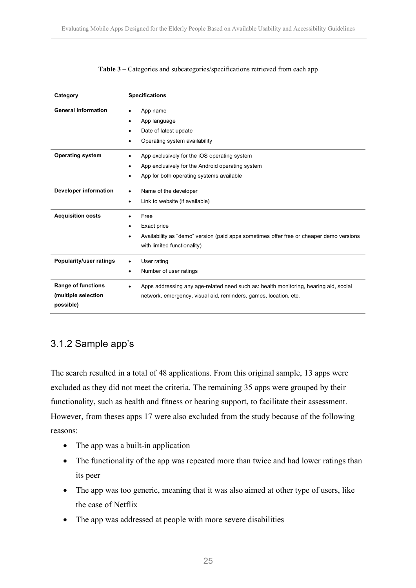| Category                                                      | <b>Specifications</b>                                                                                                                                    |
|---------------------------------------------------------------|----------------------------------------------------------------------------------------------------------------------------------------------------------|
| <b>General information</b>                                    | App name<br>App language<br>Date of latest update<br>Operating system availability                                                                       |
| <b>Operating system</b>                                       | App exclusively for the iOS operating system<br>App exclusively for the Android operating system<br>App for both operating systems available             |
| Developer information                                         | Name of the developer<br>Link to website (if available)<br>٠                                                                                             |
| <b>Acquisition costs</b>                                      | Free<br>Exact price<br>Availability as "demo" version (paid apps sometimes offer free or cheaper demo versions<br>with limited functionality)            |
| <b>Popularity/user ratings</b>                                | User rating<br>Number of user ratings                                                                                                                    |
| <b>Range of functions</b><br>(multiple selection<br>possible) | Apps addressing any age-related need such as: health monitoring, hearing aid, social<br>network, emergency, visual aid, reminders, games, location, etc. |

#### **Table 3** – Categories and subcategories/specifications retrieved from each app

### 3.1.2 Sample app's

The search resulted in a total of 48 applications. From this original sample, 13 apps were excluded as they did not meet the criteria. The remaining 35 apps were grouped by their functionality, such as health and fitness or hearing support, to facilitate their assessment. However, from theses apps 17 were also excluded from the study because of the following reasons:

- The app was a built-in application
- The functionality of the app was repeated more than twice and had lower ratings than its peer
- The app was too generic, meaning that it was also aimed at other type of users, like the case of Netflix
- The app was addressed at people with more severe disabilities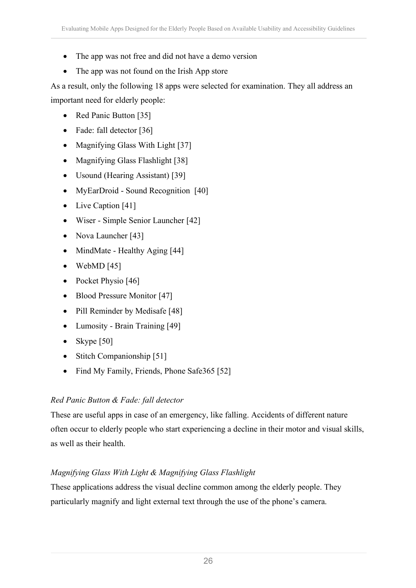- The app was not free and did not have a demo version
- The app was not found on the Irish App store

As a result, only the following 18 apps were selected for examination. They all address an important need for elderly people:

- Red Panic Button [35]
- Fade: fall detector [36]
- Magnifying Glass With Light [37]
- Magnifying Glass Flashlight [38]
- Usound (Hearing Assistant) [39]
- MyEarDroid Sound Recognition [40]
- Live Caption [41]
- Wiser Simple Senior Launcher [42]
- Nova Launcher [43]
- MindMate Healthy Aging [44]
- WebMD  $[45]$
- Pocket Physio [46]
- Blood Pressure Monitor [47]
- Pill Reminder by Medisafe [48]
- Lumosity Brain Training [49]
- Skype  $[50]$
- Stitch Companionship [51]
- Find My Family, Friends, Phone Safe365 [52]

### *Red Panic Button & Fade: fall detector*

These are useful apps in case of an emergency, like falling. Accidents of different nature often occur to elderly people who start experiencing a decline in their motor and visual skills, as well as their health.

### *Magnifying Glass With Light & Magnifying Glass Flashlight*

These applications address the visual decline common among the elderly people. They particularly magnify and light external text through the use of the phone's camera.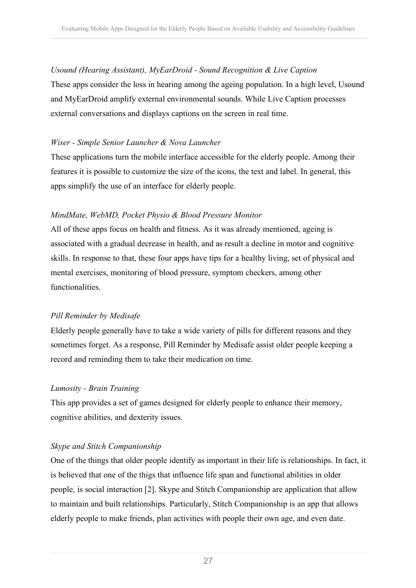#### *Usound (Hearing Assistant), MyEarDroid - Sound Recognition & Live Caption*

These apps consider the loss in hearing among the ageing population. In a high level, Usound and MyEarDroid amplify external environmental sounds. While Live Caption processes external conversations and displays captions on the screen in real time.

#### *Wiser - Simple Senior Launcher & Nova Launcher*

These applications turn the mobile interface accessible for the elderly people. Among their features it is possible to customize the size of the icons, the text and label. In general, this apps simplify the use of an interface for elderly people.

#### *MindMate, WebMD, Pocket Physio & Blood Pressure Monitor*

All of these apps focus on health and fitness. As it was already mentioned, ageing is associated with a gradual decrease in health, and as result a decline in motor and cognitive skills. In response to that, these four apps have tips for a healthy living, set of physical and mental exercises, monitoring of blood pressure, symptom checkers, among other functionalities.

### *Pill Reminder by Medisafe*

Elderly people generally have to take a wide variety of pills for different reasons and they sometimes forget. As a response, Pill Reminder by Medisafe assist older people keeping a record and reminding them to take their medication on time.

### *Lumosity - Brain Training*

This app provides a set of games designed for elderly people to enhance their memory, cognitive abilities, and dexterity issues.

### *Skype and Stitch Companionship*

One of the things that older people identify as important in their life is relationships. In fact, it is believed that one of the thigs that influence life span and functional abilities in older people, is social interaction [2]. Skype and Stitch Companionship are application that allow to maintain and built relationships. Particularly, Stitch Companionship is an app that allows elderly people to make friends, plan activities with people their own age, and even date.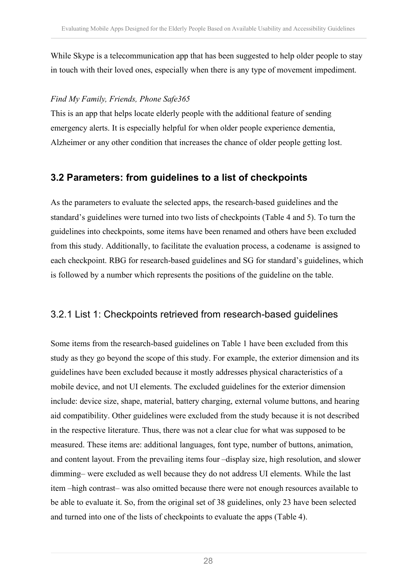While Skype is a telecommunication app that has been suggested to help older people to stay in touch with their loved ones, especially when there is any type of movement impediment.

#### *Find My Family, Friends, Phone Safe365*

This is an app that helps locate elderly people with the additional feature of sending emergency alerts. It is especially helpful for when older people experience dementia, Alzheimer or any other condition that increases the chance of older people getting lost.

### **3.2 Parameters: from guidelines to a list of checkpoints**

As the parameters to evaluate the selected apps, the research-based guidelines and the standard's guidelines were turned into two lists of checkpoints (Table 4 and 5). To turn the guidelines into checkpoints, some items have been renamed and others have been excluded from this study. Additionally, to facilitate the evaluation process, a codename is assigned to each checkpoint. RBG for research-based guidelines and SG for standard's guidelines, which is followed by a number which represents the positions of the guideline on the table.

### 3.2.1 List 1: Checkpoints retrieved from research-based guidelines

Some items from the research-based guidelines on Table 1 have been excluded from this study as they go beyond the scope of this study. For example, the exterior dimension and its guidelines have been excluded because it mostly addresses physical characteristics of a mobile device, and not UI elements. The excluded guidelines for the exterior dimension include: device size, shape, material, battery charging, external volume buttons, and hearing aid compatibility. Other guidelines were excluded from the study because it is not described in the respective literature. Thus, there was not a clear clue for what was supposed to be measured. These items are: additional languages, font type, number of buttons, animation, and content layout. From the prevailing items four –display size, high resolution, and slower dimming– were excluded as well because they do not address UI elements. While the last item –high contrast– was also omitted because there were not enough resources available to be able to evaluate it. So, from the original set of 38 guidelines, only 23 have been selected and turned into one of the lists of checkpoints to evaluate the apps (Table 4).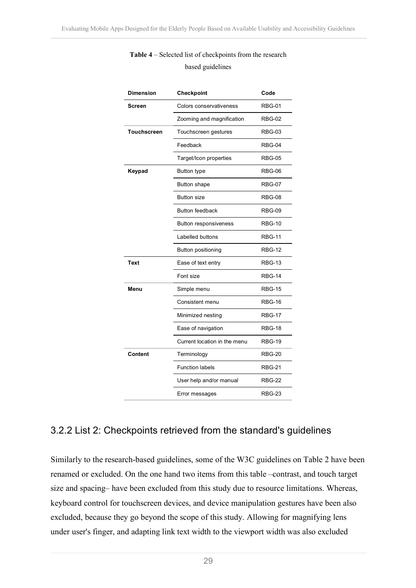| <b>Dimension</b>   | Checkpoint                   | Code          |
|--------------------|------------------------------|---------------|
| <b>Screen</b>      | Colors conservativeness      | <b>RBG-01</b> |
|                    | Zooming and magnification    | <b>RBG-02</b> |
| <b>Touchscreen</b> | Touchscreen gestures         | <b>RBG-03</b> |
|                    | Feedback                     | RBG-04        |
|                    | Target/Icon properties       | <b>RBG-05</b> |
| Keypad             | <b>Button type</b>           | <b>RBG-06</b> |
|                    | <b>Button shape</b>          | <b>RBG-07</b> |
|                    | <b>Button size</b>           | <b>RBG-08</b> |
|                    | <b>Button feedback</b>       | <b>RBG-09</b> |
|                    | <b>Button responsiveness</b> | <b>RBG-10</b> |
|                    | Labelled buttons             | <b>RBG-11</b> |
|                    | Button positioning           | <b>RBG-12</b> |
| <b>Text</b>        | Ease of text entry           | <b>RBG-13</b> |
|                    | Font size                    | <b>RBG-14</b> |
| Menu               | Simple menu                  | <b>RBG-15</b> |
|                    | Consistent menu              | <b>RBG-16</b> |
|                    | Minimized nesting            | <b>RBG-17</b> |
|                    | Ease of navigation           | <b>RBG-18</b> |
|                    | Current location in the menu | <b>RBG-19</b> |
| <b>Content</b>     | Terminology                  | <b>RBG-20</b> |
|                    | <b>Function labels</b>       | <b>RBG-21</b> |
|                    | User help and/or manual      | <b>RBG-22</b> |
|                    | Error messages               | <b>RBG-23</b> |

#### **Table 4** – Selected list of checkpoints from the research based guidelines

### 3.2.2 List 2: Checkpoints retrieved from the standard's guidelines

Similarly to the research-based guidelines, some of the W3C guidelines on Table 2 have been renamed or excluded. On the one hand two items from this table –contrast, and touch target size and spacing– have been excluded from this study due to resource limitations. Whereas, keyboard control for touchscreen devices, and device manipulation gestures have been also excluded, because they go beyond the scope of this study. Allowing for magnifying lens under user's finger, and adapting link text width to the viewport width was also excluded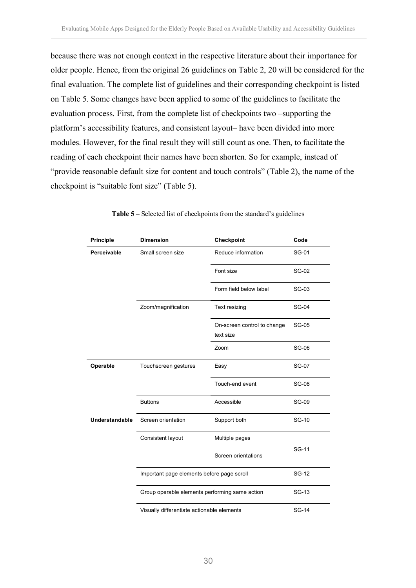because there was not enough context in the respective literature about their importance for older people. Hence, from the original 26 guidelines on Table 2, 20 will be considered for the final evaluation. The complete list of guidelines and their corresponding checkpoint is listed on Table 5. Some changes have been applied to some of the guidelines to facilitate the evaluation process. First, from the complete list of checkpoints two –supporting the platform's accessibility features, and consistent layout– have been divided into more modules. However, for the final result they will still count as one. Then, to facilitate the reading of each checkpoint their names have been shorten. So for example, instead of "provide reasonable default size for content and touch controls" (Table 2), the name of the checkpoint is "suitable font size" (Table 5).

| <b>Principle</b>      | <b>Dimension</b>                               | Checkpoint                               | Code         |
|-----------------------|------------------------------------------------|------------------------------------------|--------------|
| Perceivable           | Small screen size                              | Reduce information                       | SG-01        |
|                       |                                                | Font size                                | <b>SG-02</b> |
|                       |                                                | Form field below label                   | <b>SG-03</b> |
|                       | Zoom/magnification                             | Text resizing                            | <b>SG-04</b> |
|                       |                                                | On-screen control to change<br>text size | <b>SG-05</b> |
|                       |                                                | Zoom                                     | <b>SG-06</b> |
| Operable              | Touchscreen gestures                           | Easy                                     | <b>SG-07</b> |
|                       |                                                | Touch-end event                          | <b>SG-08</b> |
|                       | <b>Buttons</b>                                 | Accessible                               | <b>SG-09</b> |
| <b>Understandable</b> | Screen orientation                             | Support both                             | <b>SG-10</b> |
|                       | Consistent layout                              | Multiple pages                           |              |
|                       |                                                | Screen orientations                      | SG-11        |
|                       | Important page elements before page scroll     | SG-12                                    |              |
|                       | Group operable elements performing same action |                                          | SG-13        |
|                       | Visually differentiate actionable elements     |                                          | <b>SG-14</b> |

|  |  |  |  |  |  | <b>Table 5</b> – Selected list of checkpoints from the standard's guidelines |
|--|--|--|--|--|--|------------------------------------------------------------------------------|
|--|--|--|--|--|--|------------------------------------------------------------------------------|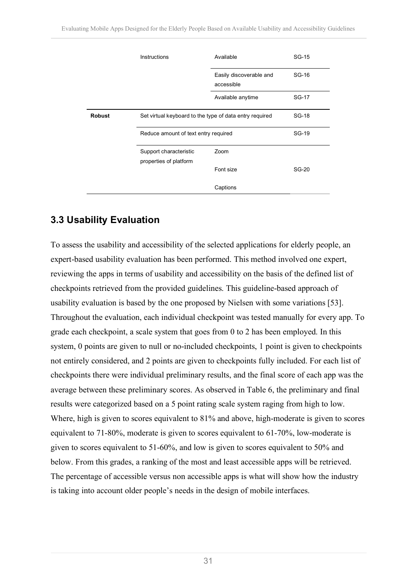|               | Instructions                                            | Available                             | SG-15        |
|---------------|---------------------------------------------------------|---------------------------------------|--------------|
|               |                                                         | Easily discoverable and<br>accessible | SG-16        |
|               |                                                         | Available anytime                     | SG-17        |
| <b>Robust</b> | Set virtual keyboard to the type of data entry required |                                       | SG-18        |
|               | Reduce amount of text entry required                    |                                       | SG-19        |
|               | Support characteristic<br>properties of platform        | Zoom                                  |              |
|               |                                                         | Font size                             | <b>SG-20</b> |
|               |                                                         | Captions                              |              |

### **3.3 Usability Evaluation**

To assess the usability and accessibility of the selected applications for elderly people, an expert-based usability evaluation has been performed. This method involved one expert, reviewing the apps in terms of usability and accessibility on the basis of the defined list of checkpoints retrieved from the provided guidelines. This guideline-based approach of usability evaluation is based by the one proposed by Nielsen with some variations [53]. Throughout the evaluation, each individual checkpoint was tested manually for every app. To grade each checkpoint, a scale system that goes from 0 to 2 has been employed. In this system, 0 points are given to null or no-included checkpoints, 1 point is given to checkpoints not entirely considered, and 2 points are given to checkpoints fully included. For each list of checkpoints there were individual preliminary results, and the final score of each app was the average between these preliminary scores. As observed in Table 6, the preliminary and final results were categorized based on a 5 point rating scale system raging from high to low. Where, high is given to scores equivalent to 81% and above, high-moderate is given to scores equivalent to 71-80%, moderate is given to scores equivalent to 61-70%, low-moderate is given to scores equivalent to 51-60%, and low is given to scores equivalent to 50% and below. From this grades, a ranking of the most and least accessible apps will be retrieved. The percentage of accessible versus non accessible apps is what will show how the industry is taking into account older people's needs in the design of mobile interfaces.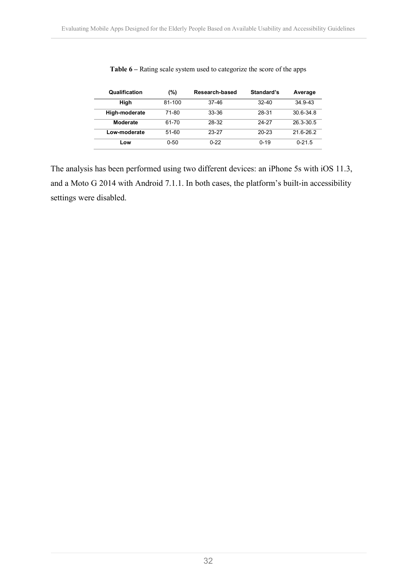| Qualification | (%)      | Research-based | Standard's | Average     |
|---------------|----------|----------------|------------|-------------|
| High          | 81-100   | 37-46          | $32 - 40$  | $34.9 - 43$ |
| High-moderate | 71-80    | $33 - 36$      | 28-31      | $306 - 348$ |
| Moderate      | 61-70    | 28-32          | 24-27      | 26.3-30.5   |
| Low-moderate  | $51-60$  | 23-27          | $20 - 23$  | 21.6-26.2   |
| Low           | $0 - 50$ | $0 - 22$       | $0 - 19$   | $0 - 21.5$  |

**Table 6 –** Rating scale system used to categorize the score of the apps

The analysis has been performed using two different devices: an iPhone 5s with iOS 11.3, and a Moto G 2014 with Android 7.1.1. In both cases, the platform's built-in accessibility settings were disabled.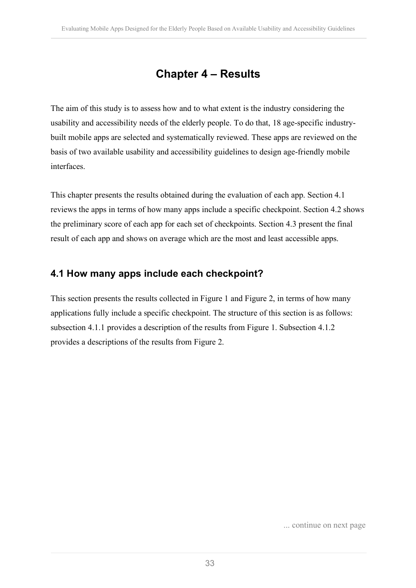## **Chapter 4 – Results**

The aim of this study is to assess how and to what extent is the industry considering the usability and accessibility needs of the elderly people. To do that, 18 age-specific industrybuilt mobile apps are selected and systematically reviewed. These apps are reviewed on the basis of two available usability and accessibility guidelines to design age-friendly mobile interfaces.

This chapter presents the results obtained during the evaluation of each app. Section 4.1 reviews the apps in terms of how many apps include a specific checkpoint. Section 4.2 shows the preliminary score of each app for each set of checkpoints. Section 4.3 present the final result of each app and shows on average which are the most and least accessible apps.

### **4.1 How many apps include each checkpoint?**

This section presents the results collected in Figure 1 and Figure 2, in terms of how many applications fully include a specific checkpoint. The structure of this section is as follows: subsection 4.1.1 provides a description of the results from Figure 1. Subsection 4.1.2 provides a descriptions of the results from Figure 2.

... continue on next page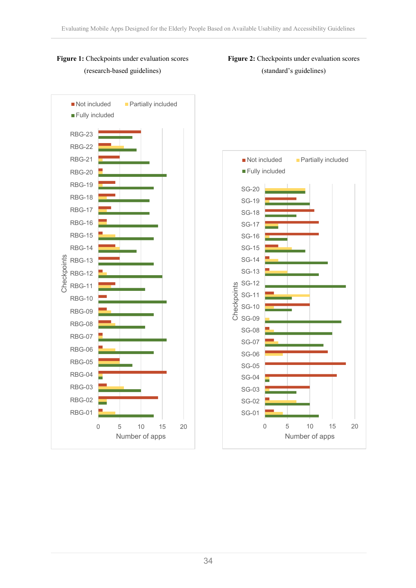

#### **Figure 1:** Checkpoints under evaluation scores (research-based guidelines)



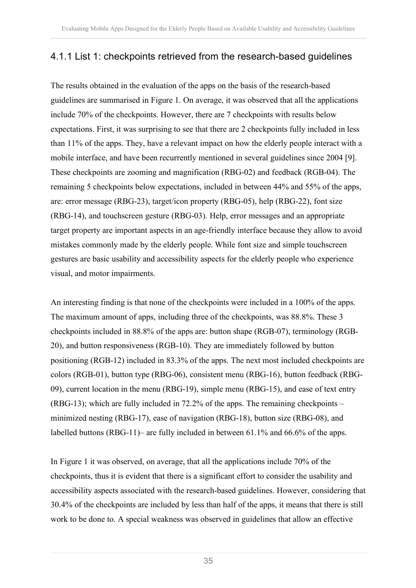### 4.1.1 List 1: checkpoints retrieved from the research-based guidelines

The results obtained in the evaluation of the apps on the basis of the research-based guidelines are summarised in Figure 1. On average, it was observed that all the applications include 70% of the checkpoints. However, there are 7 checkpoints with results below expectations. First, it was surprising to see that there are 2 checkpoints fully included in less than 11% of the apps. They, have a relevant impact on how the elderly people interact with a mobile interface, and have been recurrently mentioned in several guidelines since 2004 [9]. These checkpoints are zooming and magnification (RBG-02) and feedback (RGB-04). The remaining 5 checkpoints below expectations, included in between 44% and 55% of the apps, are: error message (RBG-23), target/icon property (RBG-05), help (RBG-22), font size (RBG-14), and touchscreen gesture (RBG-03). Help, error messages and an appropriate target property are important aspects in an age-friendly interface because they allow to avoid mistakes commonly made by the elderly people. While font size and simple touchscreen gestures are basic usability and accessibility aspects for the elderly people who experience visual, and motor impairments.

An interesting finding is that none of the checkpoints were included in a 100% of the apps. The maximum amount of apps, including three of the checkpoints, was 88.8%. These 3 checkpoints included in 88.8% of the apps are: button shape (RGB-07), terminology (RGB-20), and button responsiveness (RGB-10). They are immediately followed by button positioning (RGB-12) included in 83.3% of the apps. The next most included checkpoints are colors (RGB-01), button type (RBG-06), consistent menu (RBG-16), button feedback (RBG-09), current location in the menu (RBG-19), simple menu (RBG-15), and ease of text entry (RBG-13); which are fully included in 72.2% of the apps. The remaining checkpoints – minimized nesting (RBG-17), ease of navigation (RBG-18), button size (RBG-08), and labelled buttons (RBG-11)– are fully included in between 61.1% and 66.6% of the apps.

In Figure 1 it was observed, on average, that all the applications include 70% of the checkpoints, thus it is evident that there is a significant effort to consider the usability and accessibility aspects associated with the research-based guidelines. However, considering that 30.4% of the checkpoints are included by less than half of the apps, it means that there is still work to be done to. A special weakness was observed in guidelines that allow an effective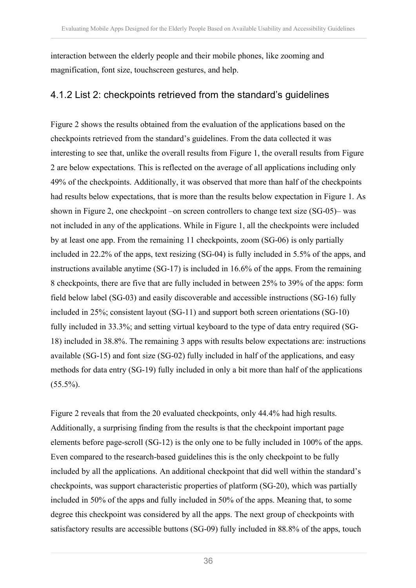interaction between the elderly people and their mobile phones, like zooming and magnification, font size, touchscreen gestures, and help.

### 4.1.2 List 2: checkpoints retrieved from the standard's guidelines

Figure 2 shows the results obtained from the evaluation of the applications based on the checkpoints retrieved from the standard's guidelines. From the data collected it was interesting to see that, unlike the overall results from Figure 1, the overall results from Figure 2 are below expectations. This is reflected on the average of all applications including only 49% of the checkpoints. Additionally, it was observed that more than half of the checkpoints had results below expectations, that is more than the results below expectation in Figure 1. As shown in Figure 2, one checkpoint –on screen controllers to change text size (SG-05)– was not included in any of the applications. While in Figure 1, all the checkpoints were included by at least one app. From the remaining 11 checkpoints, zoom (SG-06) is only partially included in 22.2% of the apps, text resizing (SG-04) is fully included in 5.5% of the apps, and instructions available anytime (SG-17) is included in 16.6% of the apps. From the remaining 8 checkpoints, there are five that are fully included in between 25% to 39% of the apps: form field below label (SG-03) and easily discoverable and accessible instructions (SG-16) fully included in 25%; consistent layout (SG-11) and support both screen orientations (SG-10) fully included in 33.3%; and setting virtual keyboard to the type of data entry required (SG-18) included in 38.8%. The remaining 3 apps with results below expectations are: instructions available (SG-15) and font size (SG-02) fully included in half of the applications, and easy methods for data entry (SG-19) fully included in only a bit more than half of the applications  $(55.5\%)$ .

Figure 2 reveals that from the 20 evaluated checkpoints, only 44.4% had high results. Additionally, a surprising finding from the results is that the checkpoint important page elements before page-scroll (SG-12) is the only one to be fully included in 100% of the apps. Even compared to the research-based guidelines this is the only checkpoint to be fully included by all the applications. An additional checkpoint that did well within the standard's checkpoints, was support characteristic properties of platform (SG-20), which was partially included in 50% of the apps and fully included in 50% of the apps. Meaning that, to some degree this checkpoint was considered by all the apps. The next group of checkpoints with satisfactory results are accessible buttons (SG-09) fully included in 88.8% of the apps, touch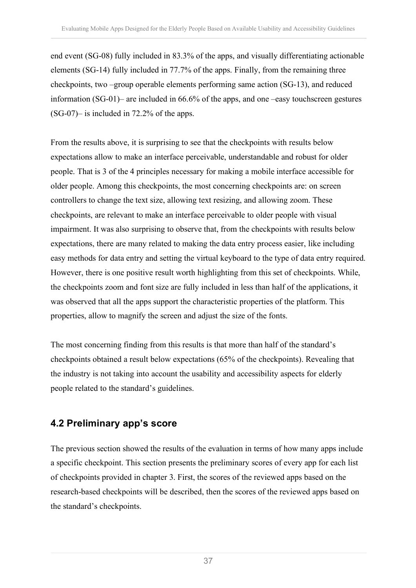end event (SG-08) fully included in 83.3% of the apps, and visually differentiating actionable elements (SG-14) fully included in 77.7% of the apps. Finally, from the remaining three checkpoints, two –group operable elements performing same action (SG-13), and reduced information (SG-01)– are included in 66.6% of the apps, and one –easy touchscreen gestures (SG-07)– is included in 72.2% of the apps.

From the results above, it is surprising to see that the checkpoints with results below expectations allow to make an interface perceivable, understandable and robust for older people. That is 3 of the 4 principles necessary for making a mobile interface accessible for older people. Among this checkpoints, the most concerning checkpoints are: on screen controllers to change the text size, allowing text resizing, and allowing zoom. These checkpoints, are relevant to make an interface perceivable to older people with visual impairment. It was also surprising to observe that, from the checkpoints with results below expectations, there are many related to making the data entry process easier, like including easy methods for data entry and setting the virtual keyboard to the type of data entry required. However, there is one positive result worth highlighting from this set of checkpoints. While, the checkpoints zoom and font size are fully included in less than half of the applications, it was observed that all the apps support the characteristic properties of the platform. This properties, allow to magnify the screen and adjust the size of the fonts.

The most concerning finding from this results is that more than half of the standard's checkpoints obtained a result below expectations (65% of the checkpoints). Revealing that the industry is not taking into account the usability and accessibility aspects for elderly people related to the standard's guidelines.

### **4.2 Preliminary app's score**

The previous section showed the results of the evaluation in terms of how many apps include a specific checkpoint. This section presents the preliminary scores of every app for each list of checkpoints provided in chapter 3. First, the scores of the reviewed apps based on the research-based checkpoints will be described, then the scores of the reviewed apps based on the standard's checkpoints.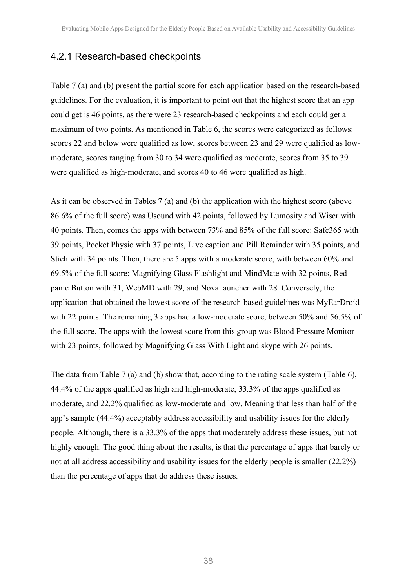### 4.2.1 Research-based checkpoints

Table 7 (a) and (b) present the partial score for each application based on the research-based guidelines. For the evaluation, it is important to point out that the highest score that an app could get is 46 points, as there were 23 research-based checkpoints and each could get a maximum of two points. As mentioned in Table 6, the scores were categorized as follows: scores 22 and below were qualified as low, scores between 23 and 29 were qualified as lowmoderate, scores ranging from 30 to 34 were qualified as moderate, scores from 35 to 39 were qualified as high-moderate, and scores 40 to 46 were qualified as high.

As it can be observed in Tables 7 (a) and (b) the application with the highest score (above 86.6% of the full score) was Usound with 42 points, followed by Lumosity and Wiser with 40 points. Then, comes the apps with between 73% and 85% of the full score: Safe365 with 39 points, Pocket Physio with 37 points, Live caption and Pill Reminder with 35 points, and Stich with 34 points. Then, there are 5 apps with a moderate score, with between 60% and 69.5% of the full score: Magnifying Glass Flashlight and MindMate with 32 points, Red panic Button with 31, WebMD with 29, and Nova launcher with 28. Conversely, the application that obtained the lowest score of the research-based guidelines was MyEarDroid with 22 points. The remaining 3 apps had a low-moderate score, between 50% and 56.5% of the full score. The apps with the lowest score from this group was Blood Pressure Monitor with 23 points, followed by Magnifying Glass With Light and skype with 26 points.

The data from Table 7 (a) and (b) show that, according to the rating scale system (Table 6), 44.4% of the apps qualified as high and high-moderate, 33.3% of the apps qualified as moderate, and 22.2% qualified as low-moderate and low. Meaning that less than half of the app's sample (44.4%) acceptably address accessibility and usability issues for the elderly people. Although, there is a 33.3% of the apps that moderately address these issues, but not highly enough. The good thing about the results, is that the percentage of apps that barely or not at all address accessibility and usability issues for the elderly people is smaller (22.2%) than the percentage of apps that do address these issues.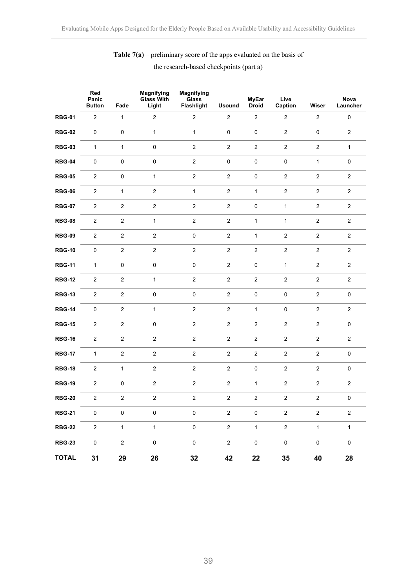### **Table 7(a)** – preliminary score of the apps evaluated on the basis of the research-based checkpoints (part a)

|               | Red<br>Panic<br><b>Button</b> | Fade             | <b>Magnifying</b><br><b>Glass With</b><br>Light | <b>Magnifying</b><br>Glass<br>Flashlight | <b>Usound</b>  | <b>MyEar</b><br><b>Droid</b> | Live<br>Caption     | Wiser          | Nova<br>Launcher |
|---------------|-------------------------------|------------------|-------------------------------------------------|------------------------------------------|----------------|------------------------------|---------------------|----------------|------------------|
| <b>RBG-01</b> | $\overline{2}$                | $\mathbf{1}$     | $\overline{2}$                                  | $\overline{2}$                           | $\overline{2}$ | $\overline{2}$               | $\overline{2}$      | $\overline{2}$ | $\pmb{0}$        |
| <b>RBG-02</b> | $\pmb{0}$                     | $\pmb{0}$        | $\mathbf{1}$                                    | $\mathbf{1}$                             | $\pmb{0}$      | $\pmb{0}$                    | $\overline{2}$      | $\pmb{0}$      | $\overline{2}$   |
| <b>RBG-03</b> | 1                             | $\mathbf{1}$     | $\mathsf 0$                                     | $\overline{2}$                           | $\overline{c}$ | $\overline{c}$               | $\overline{2}$      | $\overline{2}$ | $\mathbf{1}$     |
| <b>RBG-04</b> | $\pmb{0}$                     | $\pmb{0}$        | $\pmb{0}$                                       | $\overline{2}$                           | $\pmb{0}$      | $\pmb{0}$                    | $\mathsf{O}\xspace$ | $\mathbf{1}$   | $\pmb{0}$        |
| <b>RBG-05</b> | $\overline{a}$                | $\pmb{0}$        | 1                                               | $\overline{2}$                           | $\overline{c}$ | $\pmb{0}$                    | $\overline{2}$      | $\overline{2}$ | $\overline{2}$   |
| <b>RBG-06</b> | $\overline{2}$                | $\mathbf{1}$     | $\overline{c}$                                  | $\mathbf{1}$                             | $\overline{c}$ | $\mathbf{1}$                 | $\overline{2}$      | $\overline{2}$ | $\overline{2}$   |
| <b>RBG-07</b> | $\overline{c}$                | $\boldsymbol{2}$ | $\overline{2}$                                  | $\overline{c}$                           | $\overline{c}$ | $\pmb{0}$                    | $\mathbf{1}$        | $\overline{2}$ | $\overline{2}$   |
| <b>RBG-08</b> | $\overline{c}$                | $\overline{c}$   | $\mathbf{1}$                                    | $\overline{c}$                           | $\overline{c}$ | $\mathbf{1}$                 | $\mathbf{1}$        | $\overline{c}$ | $\overline{2}$   |
| <b>RBG-09</b> | $\overline{a}$                | $\overline{c}$   | $\sqrt{2}$                                      | $\mathbf 0$                              | $\overline{2}$ | $\mathbf{1}$                 | $\overline{2}$      | $\overline{2}$ | $\sqrt{2}$       |
| <b>RBG-10</b> | $\pmb{0}$                     | $\overline{c}$   | $\overline{c}$                                  | $\overline{2}$                           | $\overline{2}$ | $\sqrt{2}$                   | $\overline{2}$      | $\overline{2}$ | $\overline{2}$   |
| <b>RBG-11</b> | $\mathbf{1}$                  | $\pmb{0}$        | $\pmb{0}$                                       | $\mathbf 0$                              | $\overline{2}$ | $\mathbf 0$                  | $\mathbf{1}$        | $\overline{2}$ | $\overline{c}$   |
| <b>RBG-12</b> | $\overline{c}$                | $\overline{c}$   | $\mathbf{1}$                                    | $\overline{2}$                           | $\overline{c}$ | $\mathbf 2$                  | $\overline{2}$      | $\overline{2}$ | $\overline{2}$   |
| <b>RBG-13</b> | $\overline{a}$                | $\sqrt{2}$       | $\pmb{0}$                                       | $\mathbf 0$                              | $\overline{c}$ | $\pmb{0}$                    | $\mathbf 0$         | $\overline{2}$ | $\mathbf 0$      |
| <b>RBG-14</b> | $\pmb{0}$                     | $\sqrt{2}$       | $\mathbf{1}$                                    | $\overline{2}$                           | $\overline{2}$ | $\mathbf{1}$                 | $\pmb{0}$           | $\overline{2}$ | $\overline{2}$   |
| <b>RBG-15</b> | $\overline{c}$                | $\overline{c}$   | $\mathsf 0$                                     | $\overline{2}$                           | $\overline{2}$ | $\overline{c}$               | $\overline{a}$      | $\overline{2}$ | $\mathbf 0$      |
| <b>RBG-16</b> | $\overline{c}$                | $\overline{c}$   | $\overline{2}$                                  | $\overline{2}$                           | $\overline{2}$ | $\overline{c}$               | $\overline{2}$      | $\overline{2}$ | $\overline{2}$   |
| <b>RBG-17</b> | 1                             | $\overline{c}$   | $\overline{c}$                                  | $\overline{2}$                           | $\overline{c}$ | $\overline{c}$               | $\overline{c}$      | $\overline{2}$ | $\mathbf 0$      |
| <b>RBG-18</b> | $\overline{a}$                | $\mathbf{1}$     | $\overline{c}$                                  | $\overline{2}$                           | $\overline{c}$ | $\pmb{0}$                    | $\overline{2}$      | $\overline{2}$ | $\pmb{0}$        |
| <b>RBG-19</b> | $\overline{a}$                | $\pmb{0}$        | $\overline{2}$                                  | $\overline{2}$                           | $\overline{2}$ | $\mathbf{1}$                 | $\overline{2}$      | $\overline{a}$ | $\overline{2}$   |
| <b>RBG-20</b> | $\overline{2}$                | $\overline{2}$   | $\overline{2}$                                  | $\overline{2}$                           | $\overline{2}$ | $\overline{2}$               | $\overline{2}$      | $\overline{2}$ | $\pmb{0}$        |
| <b>RBG-21</b> | 0                             | $\pmb{0}$        | $\pmb{0}$                                       | $\mathsf 0$                              | $\overline{c}$ | $\pmb{0}$                    | $\overline{c}$      | $\overline{c}$ | $\overline{2}$   |
| <b>RBG-22</b> | $\overline{a}$                | $\mathbf{1}$     | $\mathbf{1}$                                    | $\mathsf 0$                              | $\overline{2}$ | $\mathbf{1}$                 | $\overline{2}$      | $\mathbf{1}$   | $\mathbf{1}$     |
| <b>RBG-23</b> | $\pmb{0}$                     | $\overline{c}$   | $\pmb{0}$                                       | $\mathsf 0$                              | $\overline{2}$ | $\pmb{0}$                    | $\pmb{0}$           | $\mathsf 0$    | $\pmb{0}$        |
| <b>TOTAL</b>  | 31                            | 29               | 26                                              | 32                                       | 42             | 22                           | 35                  | 40             | 28               |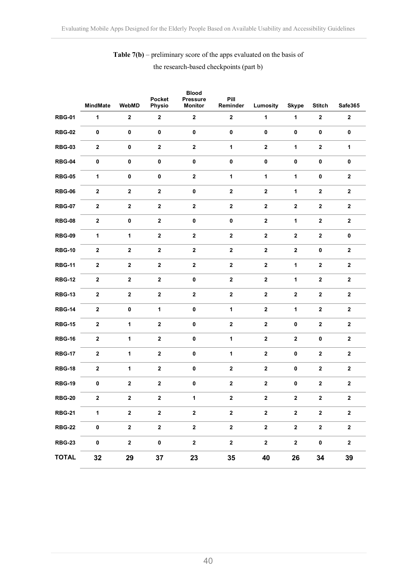**Table 7(b)** – preliminary score of the apps evaluated on the basis of the research-based checkpoints (part b)

|               | <b>MindMate</b>  | WebMD            | Pocket<br>Physio | <b>Blood</b><br><b>Pressure</b><br><b>Monitor</b> | Pill<br>Reminder | Lumosity         | <b>Skype</b> | <b>Stitch</b>    | Safe365                 |
|---------------|------------------|------------------|------------------|---------------------------------------------------|------------------|------------------|--------------|------------------|-------------------------|
| <b>RBG-01</b> | 1                | $\mathbf{2}$     | $\mathbf 2$      | $\mathbf 2$                                       | $\mathbf 2$      | $\mathbf{1}$     | $\mathbf{1}$ | $\mathbf{2}$     | $\mathbf 2$             |
| <b>RBG-02</b> | $\pmb{0}$        | $\pmb{0}$        | $\pmb{0}$        | $\pmb{0}$                                         | $\pmb{0}$        | $\pmb{0}$        | $\pmb{0}$    | $\pmb{0}$        | 0                       |
| <b>RBG-03</b> | $\boldsymbol{2}$ | $\pmb{0}$        | $\mathbf 2$      | $\mathbf 2$                                       | $\mathbf{1}$     | $\mathbf{2}$     | 1            | $\mathbf{2}$     | 1                       |
| <b>RBG-04</b> | $\pmb{0}$        | $\pmb{0}$        | $\pmb{0}$        | $\pmb{0}$                                         | $\pmb{0}$        | $\pmb{0}$        | $\pmb{0}$    | $\pmb{0}$        | 0                       |
| <b>RBG-05</b> | 1                | $\pmb{0}$        | $\pmb{0}$        | $\mathbf{2}$                                      | 1                | $\mathbf{1}$     | $\mathbf{1}$ | $\bf{0}$         | $\mathbf{2}$            |
| <b>RBG-06</b> | $\bf{2}$         | $\boldsymbol{2}$ | $\mathbf{2}$     | $\pmb{0}$                                         | $\bf 2$          | $\mathbf 2$      | 1            | $\mathbf{2}$     | $\overline{\mathbf{2}}$ |
| <b>RBG-07</b> | $\boldsymbol{2}$ | $\bf{2}$         | $\mathbf{2}$     | $\mathbf{2}$                                      | $\bf{2}$         | $\mathbf{2}$     | $\mathbf 2$  | $\mathbf{2}$     | $\mathbf 2$             |
| <b>RBG-08</b> | $\boldsymbol{2}$ | $\pmb{0}$        | $\mathbf{2}$     | $\pmb{0}$                                         | $\pmb{0}$        | $\mathbf 2$      | $\mathbf{1}$ | $\mathbf{2}$     | $\mathbf{2}$            |
| <b>RBG-09</b> | $\mathbf{1}$     | $\mathbf{1}$     | $\boldsymbol{2}$ | $\mathbf{2}$                                      | $\bf{2}$         | $\bf 2$          | $\mathbf{2}$ | $\bf 2$          | 0                       |
| <b>RBG-10</b> | $\bf{2}$         | $\bf 2$          | $\bf 2$          | $\mathbf 2$                                       | $\bf 2$          | $\bf 2$          | $\bf 2$      | $\pmb{0}$        | $\mathbf 2$             |
| <b>RBG-11</b> | $\bf 2$          | $\boldsymbol{2}$ | $\mathbf{2}$     | $\bf 2$                                           | $\bf 2$          | $\bf 2$          | 1            | $\mathbf{2}$     | $\mathbf{2}$            |
| <b>RBG-12</b> | $\mathbf{2}$     | $\bf{2}$         | $\mathbf{2}$     | 0                                                 | $\bf{2}$         | $\bf{2}$         | 1            | $\mathbf{2}$     | $\mathbf 2$             |
| <b>RBG-13</b> | $\boldsymbol{2}$ | $\mathbf{2}$     | $\bf 2$          | $\mathbf{2}$                                      | $\bf 2$          | $\mathbf{2}$     | $\mathbf 2$  | $\mathbf{2}$     | $\mathbf{2}$            |
| <b>RBG-14</b> | $\boldsymbol{2}$ | $\pmb{0}$        | $\mathbf{1}$     | $\pmb{0}$                                         | $\mathbf{1}$     | $\mathbf 2$      | $\mathbf{1}$ | $\mathbf{2}$     | $\mathbf{2}$            |
| <b>RBG-15</b> | $\boldsymbol{2}$ | $\mathbf{1}$     | $\bf 2$          | $\pmb{0}$                                         | $\bf 2$          | $\bf 2$          | $\pmb{0}$    | $\mathbf{2}$     | $\mathbf 2$             |
| <b>RBG-16</b> | $\boldsymbol{2}$ | 1                | $\mathbf{2}$     | $\pmb{0}$                                         | 1                | $\bf{2}$         | $\mathbf 2$  | 0                | $\mathbf 2$             |
| <b>RBG-17</b> | $\mathbf{2}$     | 1                | $\mathbf{2}$     | $\pmb{0}$                                         | 1                | $\boldsymbol{2}$ | 0            | $\mathbf{2}$     | $\mathbf 2$             |
| <b>RBG-18</b> | $\boldsymbol{2}$ | 1                | $\mathbf{2}$     | 0                                                 | $\bf{2}$         | $\mathbf{2}$     | 0            | $\mathbf{2}$     | $\mathbf 2$             |
| <b>RBG-19</b> | $\pmb{0}$        | $\boldsymbol{2}$ | $\boldsymbol{2}$ | $\pmb{0}$                                         | $\bf 2$          | $\bf 2$          | $\pmb{0}$    | $\bf 2$          | $\mathbf 2$             |
| <b>RBG-20</b> | $\bf{2}$         | $\mathbf 2$      | $\mathbf 2$      | 1                                                 | $\mathbf 2$      | $\bf{2}$         | $\mathbf 2$  | $\bf{2}$         | $\mathbf 2$             |
| <b>RBG-21</b> | $\mathbf{1}$     | $\mathbf{2}$     | $\mathbf{2}$     | $\mathbf{2}$                                      | $\mathbf 2$      | $\mathbf{2}$     | $\mathbf{2}$ | $\mathbf{2}$     | $\mathbf{2}$            |
| <b>RBG-22</b> | $\pmb{0}$        | $\boldsymbol{2}$ | $\mathbf 2$      | $\mathbf 2$                                       | $\boldsymbol{2}$ | $\mathbf{2}$     | $\mathbf{2}$ | $\boldsymbol{2}$ | $\mathbf 2$             |
| <b>RBG-23</b> | $\pmb{0}$        | $\mathbf 2$      | $\pmb{0}$        | $\mathbf{2}$                                      | $\mathbf{2}$     | $\mathbf{2}$     | $\mathbf{2}$ | $\pmb{0}$        | $\mathbf{2}$            |
| <b>TOTAL</b>  | 32               | 29               | 37               | 23                                                | 35               | 40               | 26           | 34               | 39                      |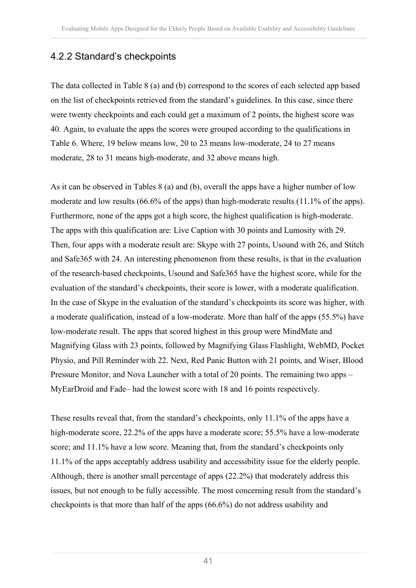### 4.2.2 Standard's checkpoints

The data collected in Table 8 (a) and (b) correspond to the scores of each selected app based on the list of checkpoints retrieved from the standard's guidelines. In this case, since there were twenty checkpoints and each could get a maximum of 2 points, the highest score was 40. Again, to evaluate the apps the scores were grouped according to the qualifications in Table 6. Where, 19 below means low, 20 to 23 means low-moderate, 24 to 27 means moderate, 28 to 31 means high-moderate, and 32 above means high.

As it can be observed in Tables 8 (a) and (b), overall the apps have a higher number of low moderate and low results (66.6% of the apps) than high-moderate results (11.1% of the apps). Furthermore, none of the apps got a high score, the highest qualification is high-moderate. The apps with this qualification are: Live Caption with 30 points and Lumosity with 29. Then, four apps with a moderate result are: Skype with 27 points, Usound with 26, and Stitch and Safe365 with 24. An interesting phenomenon from these results, is that in the evaluation of the research-based checkpoints, Usound and Safe365 have the highest score, while for the evaluation of the standard's checkpoints, their score is lower, with a moderate qualification. In the case of Skype in the evaluation of the standard's checkpoints its score was higher, with a moderate qualification, instead of a low-moderate. More than half of the apps (55.5%) have low-moderate result. The apps that scored highest in this group were MindMate and Magnifying Glass with 23 points, followed by Magnifying Glass Flashlight, WebMD, Pocket Physio, and Pill Reminder with 22. Next, Red Panic Button with 21 points, and Wiser, Blood Pressure Monitor, and Nova Launcher with a total of 20 points. The remaining two apps – MyEarDroid and Fade– had the lowest score with 18 and 16 points respectively.

These results reveal that, from the standard's checkpoints, only 11.1% of the apps have a high-moderate score, 22.2% of the apps have a moderate score; 55.5% have a low-moderate score; and 11.1% have a low score. Meaning that, from the standard's checkpoints only 11.1% of the apps acceptably address usability and accessibility issue for the elderly people. Although, there is another small percentage of apps (22.2%) that moderately address this issues, but not enough to be fully accessible. The most concerning result from the standard's checkpoints is that more than half of the apps (66.6%) do not address usability and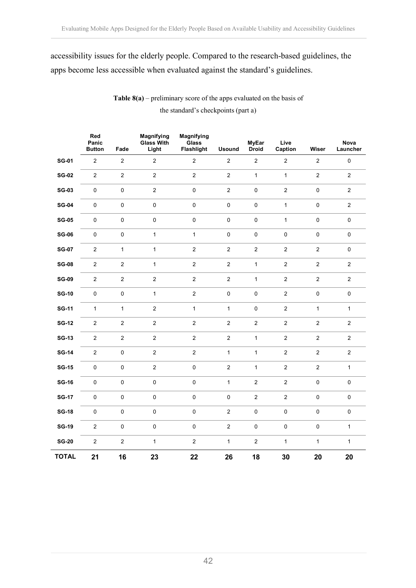### accessibility issues for the elderly people. Compared to the research-based guidelines, the apps become less accessible when evaluated against the standard's guidelines.

**Table 8(a)** – preliminary score of the apps evaluated on the basis of the standard's checkpoints (part a)

|              | Red<br>Panic<br><b>Button</b> | Fade                | <b>Magnifying</b><br><b>Glass With</b><br>Light | <b>Magnifying</b><br>Glass<br>Flashlight | <b>Usound</b>  | <b>MyEar</b><br><b>Droid</b> | Live<br>Caption  | Wiser          | Nova<br>Launcher |
|--------------|-------------------------------|---------------------|-------------------------------------------------|------------------------------------------|----------------|------------------------------|------------------|----------------|------------------|
| <b>SG-01</b> | $\overline{2}$                | $\overline{c}$      | $\mathbf 2$                                     | $\sqrt{2}$                               | $\mathbf 2$    | $\mathbf 2$                  | $\overline{c}$   | $\sqrt{2}$     | $\mathbf 0$      |
| <b>SG-02</b> | $\overline{2}$                | $\mathbf 2$         | $\overline{c}$                                  | $\mathbf 2$                              | $\overline{2}$ | $\mathbf{1}$                 | $\mathbf{1}$     | $\overline{2}$ | $\overline{2}$   |
| <b>SG-03</b> | 0                             | $\pmb{0}$           | $\mathbf 2$                                     | $\pmb{0}$                                | $\overline{2}$ | $\pmb{0}$                    | $\overline{2}$   | $\pmb{0}$      | $\sqrt{2}$       |
| <b>SG-04</b> | $\pmb{0}$                     | $\pmb{0}$           | $\pmb{0}$                                       | $\pmb{0}$                                | $\pmb{0}$      | $\mathbf 0$                  | $\mathbf{1}$     | $\pmb{0}$      | $\mathbf 2$      |
| <b>SG-05</b> | $\pmb{0}$                     | $\mathsf{O}\xspace$ | $\pmb{0}$                                       | $\pmb{0}$                                | $\pmb{0}$      | $\pmb{0}$                    | $\mathbf{1}$     | $\pmb{0}$      | $\pmb{0}$        |
| <b>SG-06</b> | $\pmb{0}$                     | $\mathbf 0$         | $\mathbf{1}$                                    | $\mathbf{1}$                             | $\pmb{0}$      | $\pmb{0}$                    | $\pmb{0}$        | $\pmb{0}$      | $\pmb{0}$        |
| <b>SG-07</b> | $\overline{2}$                | $\mathbf{1}$        | $\mathbf{1}$                                    | $\sqrt{2}$                               | $\mathbf 2$    | $\mathbf 2$                  | $\sqrt{2}$       | $\sqrt{2}$     | $\pmb{0}$        |
| $SG-08$      | $\overline{2}$                | $\sqrt{2}$          | $\mathbf{1}$                                    | $\sqrt{2}$                               | $\mathbf 2$    | $\mathbf{1}$                 | $\overline{c}$   | $\overline{2}$ | $\sqrt{2}$       |
| <b>SG-09</b> | $\overline{2}$                | $\mathbf 2$         | $\mathbf 2$                                     | $\sqrt{2}$                               | $\mathbf 2$    | $\mathbf{1}$                 | $\overline{c}$   | $\overline{c}$ | $\sqrt{2}$       |
| <b>SG-10</b> | $\pmb{0}$                     | $\pmb{0}$           | $\mathbf{1}$                                    | $\overline{2}$                           | $\pmb{0}$      | $\mathbf 0$                  | $\overline{2}$   | $\pmb{0}$      | $\pmb{0}$        |
| <b>SG-11</b> | $\mathbf 1$                   | $\mathbf{1}$        | $\mathbf 2$                                     | $\mathbf{1}$                             | $\mathbf{1}$   | $\pmb{0}$                    | $\overline{2}$   | $\mathbf{1}$   | $\mathbf{1}$     |
| <b>SG-12</b> | $\overline{2}$                | $\sqrt{2}$          | $\mathbf 2$                                     | $\sqrt{2}$                               | $\sqrt{2}$     | $\sqrt{2}$                   | $\boldsymbol{2}$ | $\sqrt{2}$     | $\sqrt{2}$       |
| <b>SG-13</b> | $\sqrt{2}$                    | $\sqrt{2}$          | $\sqrt{2}$                                      | $\sqrt{2}$                               | $\mathbf 2$    | $\mathbf{1}$                 | $\sqrt{2}$       | $\sqrt{2}$     | $\mathbf 2$      |
| <b>SG-14</b> | $\overline{2}$                | $\pmb{0}$           | $\sqrt{2}$                                      | $\overline{2}$                           | $\mathbf{1}$   | $\mathbf{1}$                 | $\overline{2}$   | $\sqrt{2}$     | $\sqrt{2}$       |
| <b>SG-15</b> | $\pmb{0}$                     | $\mathsf 0$         | $\mathbf 2$                                     | $\pmb{0}$                                | $\mathbf 2$    | $\mathbf{1}$                 | $\sqrt{2}$       | $\sqrt{2}$     | $\mathbf{1}$     |
| <b>SG-16</b> | $\pmb{0}$                     | $\pmb{0}$           | $\pmb{0}$                                       | $\pmb{0}$                                | $\mathbf{1}$   | $\sqrt{2}$                   | $\sqrt{2}$       | $\pmb{0}$      | $\pmb{0}$        |
| <b>SG-17</b> | 0                             | $\pmb{0}$           | $\pmb{0}$                                       | $\pmb{0}$                                | $\pmb{0}$      | $\mathbf 2$                  | $\overline{2}$   | $\pmb{0}$      | $\pmb{0}$        |
| <b>SG-18</b> | $\pmb{0}$                     | $\pmb{0}$           | $\pmb{0}$                                       | $\pmb{0}$                                | $\mathbf 2$    | $\pmb{0}$                    | $\pmb{0}$        | $\pmb{0}$      | $\pmb{0}$        |
| <b>SG-19</b> | $\sqrt{2}$                    | $\pmb{0}$           | $\mathsf 0$                                     | $\pmb{0}$                                | $\sqrt{2}$     | $\pmb{0}$                    | $\pmb{0}$        | $\pmb{0}$      | $\mathbf{1}$     |
| <b>SG-20</b> | $\overline{2}$                | $\sqrt{2}$          | $\mathbf{1}$                                    | $\sqrt{2}$                               | $\mathbf{1}$   | $\sqrt{2}$                   | $\mathbf{1}$     | $\mathbf{1}$   | $\mathbf{1}$     |
| <b>TOTAL</b> | 21                            | 16                  | 23                                              | 22                                       | 26             | 18                           | 30               | 20             | 20               |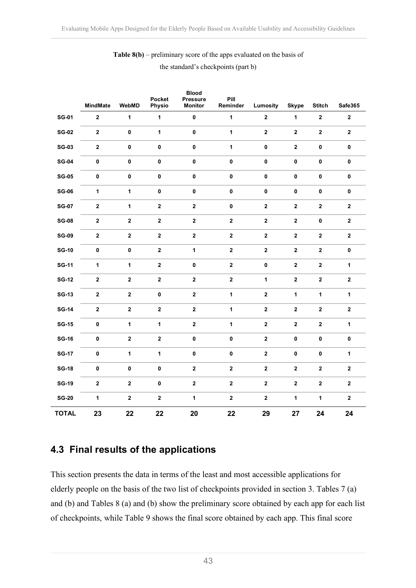| <b>Table 8(b)</b> – preliminary score of the apps evaluated on the basis of |  |
|-----------------------------------------------------------------------------|--|
| the standard's checkpoints (part b)                                         |  |

|              | <b>MindMate</b> | WebMD        | Pocket<br>Physio | <b>Blood</b><br><b>Pressure</b><br><b>Monitor</b> | Pill<br>Reminder | Lumosity     | <b>Skype</b> | <b>Stitch</b>    | Safe365      |
|--------------|-----------------|--------------|------------------|---------------------------------------------------|------------------|--------------|--------------|------------------|--------------|
| <b>SG-01</b> | $\mathbf{2}$    | $\mathbf{1}$ | 1                | $\pmb{0}$                                         | $\mathbf{1}$     | $\bf 2$      | 1            | $\boldsymbol{2}$ | $\mathbf{2}$ |
| <b>SG-02</b> | $\mathbf 2$     | $\pmb{0}$    | $\mathbf{1}$     | $\pmb{0}$                                         | $\mathbf{1}$     | $\bf 2$      | $\bf 2$      | $\boldsymbol{2}$ | $\bf 2$      |
| <b>SG-03</b> | $\bf 2$         | 0            | $\pmb{0}$        | $\pmb{0}$                                         | $\mathbf{1}$     | $\pmb{0}$    | $\bf 2$      | $\pmb{0}$        | $\pmb{0}$    |
| <b>SG-04</b> | $\pmb{0}$       | $\pmb{0}$    | $\pmb{0}$        | $\pmb{0}$                                         | $\pmb{0}$        | $\pmb{0}$    | $\pmb{0}$    | $\pmb{0}$        | $\pmb{0}$    |
| <b>SG-05</b> | $\pmb{0}$       | $\pmb{0}$    | $\pmb{0}$        | $\pmb{0}$                                         | $\pmb{0}$        | $\pmb{0}$    | $\pmb{0}$    | $\pmb{0}$        | $\pmb{0}$    |
| <b>SG-06</b> | $\mathbf{1}$    | 1            | $\pmb{0}$        | $\pmb{0}$                                         | $\pmb{0}$        | $\pmb{0}$    | $\pmb{0}$    | $\pmb{0}$        | $\pmb{0}$    |
| <b>SG-07</b> | $\bf 2$         | $\mathbf{1}$ | $\mathbf{2}$     | $\bf 2$                                           | $\pmb{0}$        | $\mathbf{2}$ | $\bf 2$      | $\boldsymbol{2}$ | $\mathbf{2}$ |
| <b>SG-08</b> | $\mathbf 2$     | $\mathbf 2$  | $\bf 2$          | $\bf 2$                                           | $\mathbf 2$      | $\bf 2$      | $\bf 2$      | $\pmb{0}$        | $\bf 2$      |
| <b>SG-09</b> | $\bf 2$         | $\mathbf 2$  | $\mathbf{2}$     | $\bf 2$                                           | $\bf 2$          | $\mathbf 2$  | $\bf 2$      | $\boldsymbol{2}$ | $\bf 2$      |
| <b>SG-10</b> | $\pmb{0}$       | $\pmb{0}$    | $\boldsymbol{2}$ | $\mathbf{1}$                                      | $\bf 2$          | $\bf 2$      | $\bf 2$      | $\mathbf{2}$     | $\pmb{0}$    |
| <b>SG-11</b> | $\mathbf{1}$    | $\mathbf{1}$ | $\bf 2$          | $\pmb{0}$                                         | $\bf 2$          | $\pmb{0}$    | $\mathbf 2$  | $\mathbf{2}$     | $\mathbf{1}$ |
| <b>SG-12</b> | $\bf 2$         | $\mathbf 2$  | $\mathbf{2}$     | $\bf 2$                                           | $\bf 2$          | $\mathbf{1}$ | $\mathbf 2$  | $\boldsymbol{2}$ | $\bf 2$      |
| <b>SG-13</b> | $\mathbf 2$     | $\mathbf 2$  | $\pmb{0}$        | $\bf 2$                                           | $\mathbf{1}$     | $\mathbf 2$  | 1            | 1                | $\mathbf{1}$ |
| <b>SG-14</b> | $\bf 2$         | $\mathbf 2$  | $\bf 2$          | $\bf 2$                                           | $\mathbf{1}$     | $\mathbf 2$  | $\bf 2$      | $\bf 2$          | $\bf 2$      |
| <b>SG-15</b> | $\pmb{0}$       | $\mathbf{1}$ | $\mathbf{1}$     | $\bf 2$                                           | $\mathbf{1}$     | $\bf 2$      | $\bf 2$      | $\boldsymbol{2}$ | $\mathbf{1}$ |
| <b>SG-16</b> | $\pmb{0}$       | $\mathbf 2$  | $\bf 2$          | $\pmb{0}$                                         | $\pmb{0}$        | $\bf 2$      | $\pmb{0}$    | $\pmb{0}$        | $\pmb{0}$    |
| <b>SG-17</b> | $\pmb{0}$       | $\mathbf{1}$ | $\mathbf{1}$     | $\pmb{0}$                                         | $\pmb{0}$        | $\bf 2$      | $\pmb{0}$    | $\pmb{0}$        | $\mathbf{1}$ |
| <b>SG-18</b> | $\pmb{0}$       | $\pmb{0}$    | $\pmb{0}$        | $\bf 2$                                           | $\bf 2$          | $\bf 2$      | $\bf 2$      | $\bf 2$          | $\bf 2$      |
| <b>SG-19</b> | $\bf 2$         | $\mathbf 2$  | $\pmb{0}$        | $\mathbf{2}$                                      | $\bf 2$          | $\mathbf{2}$ | $\bf 2$      | $\mathbf{2}$     | $\mathbf{2}$ |
| $SG-20$      | $\mathbf{1}$    | $\mathbf 2$  | $\bf 2$          | $\mathbf{1}$                                      | $\mathbf 2$      | $\mathbf 2$  | $\mathbf{1}$ | $\mathbf{1}$     | $\bf 2$      |
| <b>TOTAL</b> | 23              | 22           | 22               | 20                                                | 22               | 29           | 27           | 24               | 24           |

### **4.3 Final results of the applications**

This section presents the data in terms of the least and most accessible applications for elderly people on the basis of the two list of checkpoints provided in section 3. Tables 7 (a) and (b) and Tables 8 (a) and (b) show the preliminary score obtained by each app for each list of checkpoints, while Table 9 shows the final score obtained by each app. This final score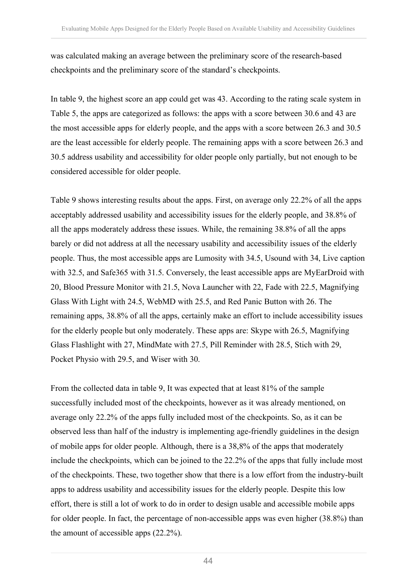was calculated making an average between the preliminary score of the research-based checkpoints and the preliminary score of the standard's checkpoints.

In table 9, the highest score an app could get was 43. According to the rating scale system in Table 5, the apps are categorized as follows: the apps with a score between 30.6 and 43 are the most accessible apps for elderly people, and the apps with a score between 26.3 and 30.5 are the least accessible for elderly people. The remaining apps with a score between 26.3 and 30.5 address usability and accessibility for older people only partially, but not enough to be considered accessible for older people.

Table 9 shows interesting results about the apps. First, on average only 22.2% of all the apps acceptably addressed usability and accessibility issues for the elderly people, and 38.8% of all the apps moderately address these issues. While, the remaining 38.8% of all the apps barely or did not address at all the necessary usability and accessibility issues of the elderly people. Thus, the most accessible apps are Lumosity with 34.5, Usound with 34, Live caption with 32.5, and Safe365 with 31.5. Conversely, the least accessible apps are MyEarDroid with 20, Blood Pressure Monitor with 21.5, Nova Launcher with 22, Fade with 22.5, Magnifying Glass With Light with 24.5, WebMD with 25.5, and Red Panic Button with 26. The remaining apps, 38.8% of all the apps, certainly make an effort to include accessibility issues for the elderly people but only moderately. These apps are: Skype with 26.5, Magnifying Glass Flashlight with 27, MindMate with 27.5, Pill Reminder with 28.5, Stich with 29, Pocket Physio with 29.5, and Wiser with 30.

From the collected data in table 9, It was expected that at least 81% of the sample successfully included most of the checkpoints, however as it was already mentioned, on average only 22.2% of the apps fully included most of the checkpoints. So, as it can be observed less than half of the industry is implementing age-friendly guidelines in the design of mobile apps for older people. Although, there is a 38,8% of the apps that moderately include the checkpoints, which can be joined to the 22.2% of the apps that fully include most of the checkpoints. These, two together show that there is a low effort from the industry-built apps to address usability and accessibility issues for the elderly people. Despite this low effort, there is still a lot of work to do in order to design usable and accessible mobile apps for older people. In fact, the percentage of non-accessible apps was even higher (38.8%) than the amount of accessible apps (22.2%).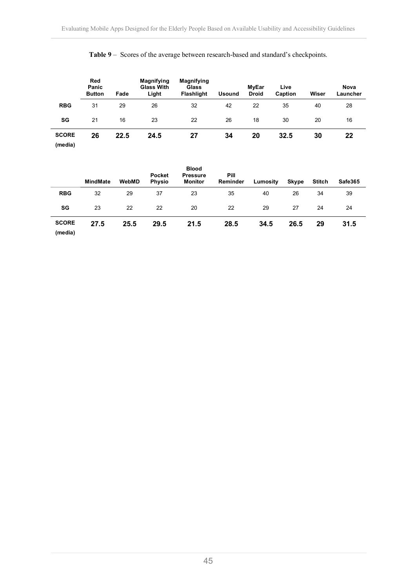|                         | Red<br>Panic<br><b>Button</b> | Fade | <b>Magnifying</b><br><b>Glass With</b><br>Light | <b>Magnifying</b><br>Glass<br>Flashlight | <b>Usound</b> | <b>MyEar</b><br><b>Droid</b> | Live<br>Caption | Wiser | <b>Nova</b><br>Launcher |
|-------------------------|-------------------------------|------|-------------------------------------------------|------------------------------------------|---------------|------------------------------|-----------------|-------|-------------------------|
| <b>RBG</b>              | 31                            | 29   | 26                                              | 32                                       | 42            | 22                           | 35              | 40    | 28                      |
| SG                      | 21                            | 16   | 23                                              | 22                                       | 26            | 18                           | 30              | 20    | 16                      |
| <b>SCORE</b><br>(media) | 26                            | 22.5 | 24.5                                            | 27                                       | 34            | 20                           | 32.5            | 30    | 22                      |

#### **Table 9** – Scores of the average between research-based and standard's checkpoints.

|                         | <b>MindMate</b> | WebMD | Pocket<br><b>Physio</b> | <b>Blood</b><br><b>Pressure</b><br><b>Monitor</b> | Pill<br>Reminder | Lumosity | <b>Skype</b> | <b>Stitch</b> | Safe365 |
|-------------------------|-----------------|-------|-------------------------|---------------------------------------------------|------------------|----------|--------------|---------------|---------|
| <b>RBG</b>              | 32              | 29    | 37                      | 23                                                | 35               | 40       | 26           | 34            | 39      |
| SG                      | 23              | 22    | 22                      | 20                                                | 22               | 29       | 27           | 24            | 24      |
| <b>SCORE</b><br>(media) | 27.5            | 25.5  | 29.5                    | 21.5                                              | 28.5             | 34.5     | 26.5         | 29            | 31.5    |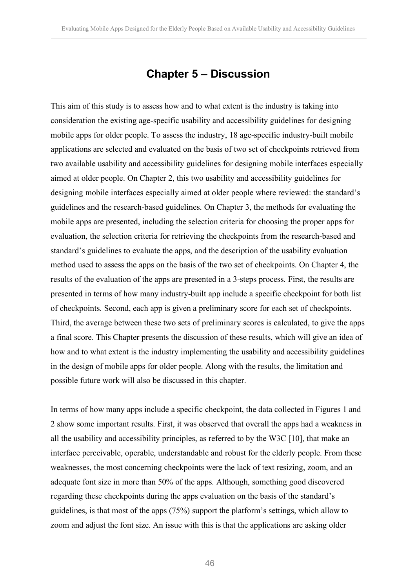## **Chapter 5 – Discussion**

This aim of this study is to assess how and to what extent is the industry is taking into consideration the existing age-specific usability and accessibility guidelines for designing mobile apps for older people. To assess the industry, 18 age-specific industry-built mobile applications are selected and evaluated on the basis of two set of checkpoints retrieved from two available usability and accessibility guidelines for designing mobile interfaces especially aimed at older people. On Chapter 2, this two usability and accessibility guidelines for designing mobile interfaces especially aimed at older people where reviewed: the standard's guidelines and the research-based guidelines. On Chapter 3, the methods for evaluating the mobile apps are presented, including the selection criteria for choosing the proper apps for evaluation, the selection criteria for retrieving the checkpoints from the research-based and standard's guidelines to evaluate the apps, and the description of the usability evaluation method used to assess the apps on the basis of the two set of checkpoints. On Chapter 4, the results of the evaluation of the apps are presented in a 3-steps process. First, the results are presented in terms of how many industry-built app include a specific checkpoint for both list of checkpoints. Second, each app is given a preliminary score for each set of checkpoints. Third, the average between these two sets of preliminary scores is calculated, to give the apps a final score. This Chapter presents the discussion of these results, which will give an idea of how and to what extent is the industry implementing the usability and accessibility guidelines in the design of mobile apps for older people. Along with the results, the limitation and possible future work will also be discussed in this chapter.

In terms of how many apps include a specific checkpoint, the data collected in Figures 1 and 2 show some important results. First, it was observed that overall the apps had a weakness in all the usability and accessibility principles, as referred to by the W3C [10], that make an interface perceivable, operable, understandable and robust for the elderly people. From these weaknesses, the most concerning checkpoints were the lack of text resizing, zoom, and an adequate font size in more than 50% of the apps. Although, something good discovered regarding these checkpoints during the apps evaluation on the basis of the standard's guidelines, is that most of the apps (75%) support the platform's settings, which allow to zoom and adjust the font size. An issue with this is that the applications are asking older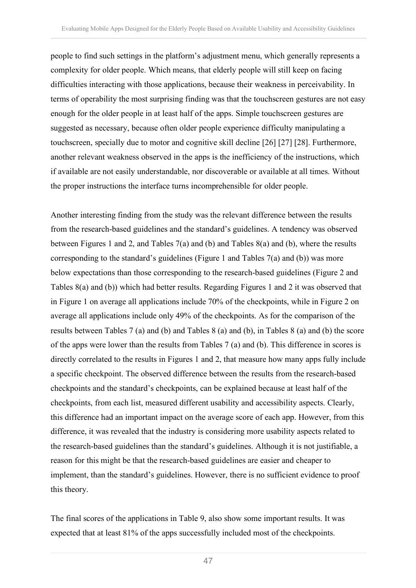people to find such settings in the platform's adjustment menu, which generally represents a complexity for older people. Which means, that elderly people will still keep on facing difficulties interacting with those applications, because their weakness in perceivability. In terms of operability the most surprising finding was that the touchscreen gestures are not easy enough for the older people in at least half of the apps. Simple touchscreen gestures are suggested as necessary, because often older people experience difficulty manipulating a touchscreen, specially due to motor and cognitive skill decline [26] [27] [28]. Furthermore, another relevant weakness observed in the apps is the inefficiency of the instructions, which if available are not easily understandable, nor discoverable or available at all times. Without the proper instructions the interface turns incomprehensible for older people.

Another interesting finding from the study was the relevant difference between the results from the research-based guidelines and the standard's guidelines. A tendency was observed between Figures 1 and 2, and Tables 7(a) and (b) and Tables 8(a) and (b), where the results corresponding to the standard's guidelines (Figure 1 and Tables 7(a) and (b)) was more below expectations than those corresponding to the research-based guidelines (Figure 2 and Tables 8(a) and (b)) which had better results. Regarding Figures 1 and 2 it was observed that in Figure 1 on average all applications include 70% of the checkpoints, while in Figure 2 on average all applications include only 49% of the checkpoints. As for the comparison of the results between Tables 7 (a) and (b) and Tables 8 (a) and (b), in Tables 8 (a) and (b) the score of the apps were lower than the results from Tables 7 (a) and (b). This difference in scores is directly correlated to the results in Figures 1 and 2, that measure how many apps fully include a specific checkpoint. The observed difference between the results from the research-based checkpoints and the standard's checkpoints, can be explained because at least half of the checkpoints, from each list, measured different usability and accessibility aspects. Clearly, this difference had an important impact on the average score of each app. However, from this difference, it was revealed that the industry is considering more usability aspects related to the research-based guidelines than the standard's guidelines. Although it is not justifiable, a reason for this might be that the research-based guidelines are easier and cheaper to implement, than the standard's guidelines. However, there is no sufficient evidence to proof this theory.

The final scores of the applications in Table 9, also show some important results. It was expected that at least 81% of the apps successfully included most of the checkpoints.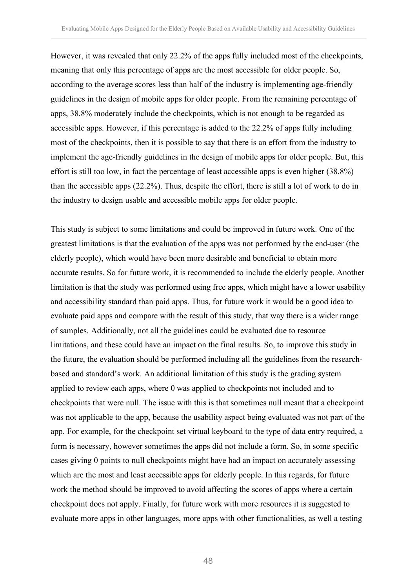However, it was revealed that only 22.2% of the apps fully included most of the checkpoints, meaning that only this percentage of apps are the most accessible for older people. So, according to the average scores less than half of the industry is implementing age-friendly guidelines in the design of mobile apps for older people. From the remaining percentage of apps, 38.8% moderately include the checkpoints, which is not enough to be regarded as accessible apps. However, if this percentage is added to the 22.2% of apps fully including most of the checkpoints, then it is possible to say that there is an effort from the industry to implement the age-friendly guidelines in the design of mobile apps for older people. But, this effort is still too low, in fact the percentage of least accessible apps is even higher (38.8%) than the accessible apps (22.2%). Thus, despite the effort, there is still a lot of work to do in the industry to design usable and accessible mobile apps for older people.

This study is subject to some limitations and could be improved in future work. One of the greatest limitations is that the evaluation of the apps was not performed by the end-user (the elderly people), which would have been more desirable and beneficial to obtain more accurate results. So for future work, it is recommended to include the elderly people. Another limitation is that the study was performed using free apps, which might have a lower usability and accessibility standard than paid apps. Thus, for future work it would be a good idea to evaluate paid apps and compare with the result of this study, that way there is a wider range of samples. Additionally, not all the guidelines could be evaluated due to resource limitations, and these could have an impact on the final results. So, to improve this study in the future, the evaluation should be performed including all the guidelines from the researchbased and standard's work. An additional limitation of this study is the grading system applied to review each apps, where 0 was applied to checkpoints not included and to checkpoints that were null. The issue with this is that sometimes null meant that a checkpoint was not applicable to the app, because the usability aspect being evaluated was not part of the app. For example, for the checkpoint set virtual keyboard to the type of data entry required, a form is necessary, however sometimes the apps did not include a form. So, in some specific cases giving 0 points to null checkpoints might have had an impact on accurately assessing which are the most and least accessible apps for elderly people. In this regards, for future work the method should be improved to avoid affecting the scores of apps where a certain checkpoint does not apply. Finally, for future work with more resources it is suggested to evaluate more apps in other languages, more apps with other functionalities, as well a testing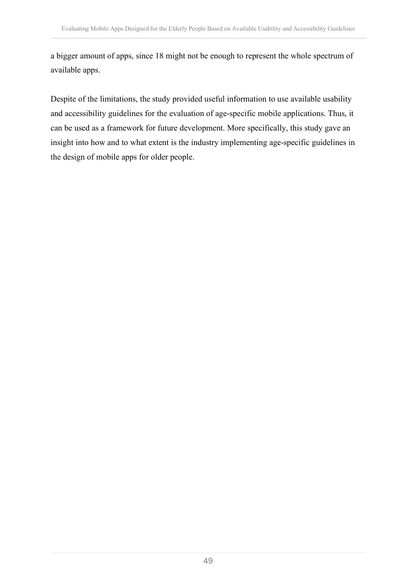a bigger amount of apps, since 18 might not be enough to represent the whole spectrum of available apps.

Despite of the limitations, the study provided useful information to use available usability and accessibility guidelines for the evaluation of age-specific mobile applications. Thus, it can be used as a framework for future development. More specifically, this study gave an insight into how and to what extent is the industry implementing age-specific guidelines in the design of mobile apps for older people.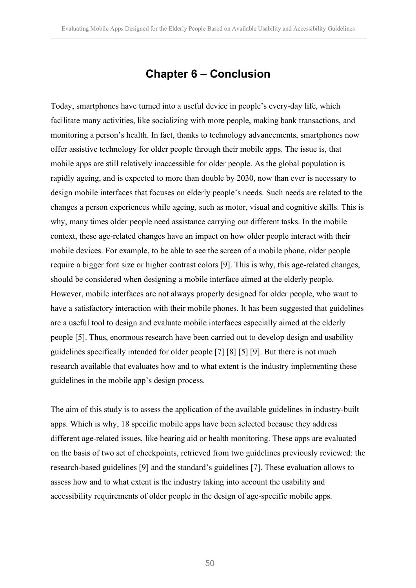### **Chapter 6 – Conclusion**

Today, smartphones have turned into a useful device in people's every-day life, which facilitate many activities, like socializing with more people, making bank transactions, and monitoring a person's health. In fact, thanks to technology advancements, smartphones now offer assistive technology for older people through their mobile apps. The issue is, that mobile apps are still relatively inaccessible for older people. As the global population is rapidly ageing, and is expected to more than double by 2030, now than ever is necessary to design mobile interfaces that focuses on elderly people's needs. Such needs are related to the changes a person experiences while ageing, such as motor, visual and cognitive skills. This is why, many times older people need assistance carrying out different tasks. In the mobile context, these age-related changes have an impact on how older people interact with their mobile devices. For example, to be able to see the screen of a mobile phone, older people require a bigger font size or higher contrast colors [9]. This is why, this age-related changes, should be considered when designing a mobile interface aimed at the elderly people. However, mobile interfaces are not always properly designed for older people, who want to have a satisfactory interaction with their mobile phones. It has been suggested that guidelines are a useful tool to design and evaluate mobile interfaces especially aimed at the elderly people [5]. Thus, enormous research have been carried out to develop design and usability guidelines specifically intended for older people [7] [8] [5] [9]. But there is not much research available that evaluates how and to what extent is the industry implementing these guidelines in the mobile app's design process.

The aim of this study is to assess the application of the available guidelines in industry-built apps. Which is why, 18 specific mobile apps have been selected because they address different age-related issues, like hearing aid or health monitoring. These apps are evaluated on the basis of two set of checkpoints, retrieved from two guidelines previously reviewed: the research-based guidelines [9] and the standard's guidelines [7]. These evaluation allows to assess how and to what extent is the industry taking into account the usability and accessibility requirements of older people in the design of age-specific mobile apps.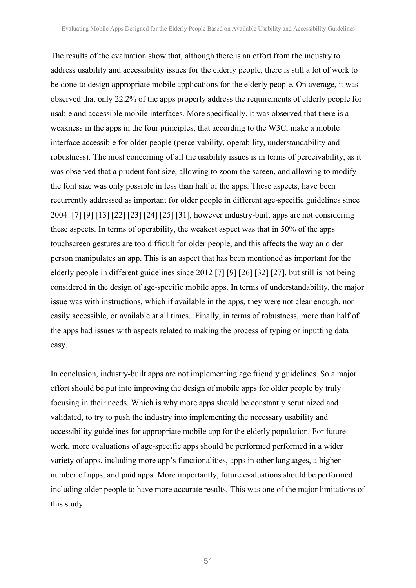The results of the evaluation show that, although there is an effort from the industry to address usability and accessibility issues for the elderly people, there is still a lot of work to be done to design appropriate mobile applications for the elderly people. On average, it was observed that only 22.2% of the apps properly address the requirements of elderly people for usable and accessible mobile interfaces. More specifically, it was observed that there is a weakness in the apps in the four principles, that according to the W3C, make a mobile interface accessible for older people (perceivability, operability, understandability and robustness). The most concerning of all the usability issues is in terms of perceivability, as it was observed that a prudent font size, allowing to zoom the screen, and allowing to modify the font size was only possible in less than half of the apps. These aspects, have been recurrently addressed as important for older people in different age-specific guidelines since 2004 [7] [9] [13] [22] [23] [24] [25] [31], however industry-built apps are not considering these aspects. In terms of operability, the weakest aspect was that in 50% of the apps touchscreen gestures are too difficult for older people, and this affects the way an older person manipulates an app. This is an aspect that has been mentioned as important for the elderly people in different guidelines since 2012 [7] [9] [26] [32] [27], but still is not being considered in the design of age-specific mobile apps. In terms of understandability, the major issue was with instructions, which if available in the apps, they were not clear enough, nor easily accessible, or available at all times. Finally, in terms of robustness, more than half of the apps had issues with aspects related to making the process of typing or inputting data easy.

In conclusion, industry-built apps are not implementing age friendly guidelines. So a major effort should be put into improving the design of mobile apps for older people by truly focusing in their needs. Which is why more apps should be constantly scrutinized and validated, to try to push the industry into implementing the necessary usability and accessibility guidelines for appropriate mobile app for the elderly population. For future work, more evaluations of age-specific apps should be performed performed in a wider variety of apps, including more app's functionalities, apps in other languages, a higher number of apps, and paid apps. More importantly, future evaluations should be performed including older people to have more accurate results. This was one of the major limitations of this study.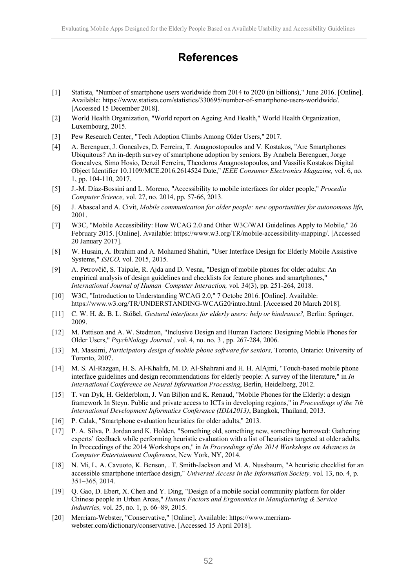## **References**

- [1] Statista, "Number of smartphone users worldwide from 2014 to 2020 (in billions)," June 2016. [Online]. Available: https://www.statista.com/statistics/330695/number-of-smartphone-users-worldwide/. [Accessed 15 December 2018].
- [2] World Health Organization, "World report on Ageing And Health," World Health Organization, Luxembourg, 2015.
- [3] Pew Research Center, "Tech Adoption Climbs Among Older Users," 2017.
- [4] A. Berenguer, J. Goncalves, D. Ferreira, T. Anagnostopoulos and V. Kostakos, "Are Smartphones Ubiquitous? An in-depth survey of smartphone adoption by seniors. By Anabela Berenguer, Jorge Goncalves, Simo Hosio, Denzil Ferreira, Theodoros Anagnostopoulos, and Vassilis Kostakos Digital Object Identifier 10.1109/MCE.2016.2614524 Date," *IEEE Consumer Electronics Magazine,* vol. 6, no. 1, pp. 104-110, 2017.
- [5] J.-M. Díaz-Bossini and L. Moreno, "Accessibility to mobile interfaces for older people," *Procedia Computer Science,* vol. 27, no. 2014, pp. 57-66, 2013.
- [6] J. Abascal and A. Civit, *Mobile communication for older people: new opportunities for autonomous life,*  2001.
- [7] W3C, "Mobile Accessibility: How WCAG 2.0 and Other W3C/WAI Guidelines Apply to Mobile," 26 February 2015. [Online]. Available: https://www.w3.org/TR/mobile-accessibility-mapping/. [Accessed 20 January 2017].
- [8] W. Husain, A. Ibrahim and A. Mohamed Shahiri, "User Interface Design for Elderly Mobile Assistive Systems," *ISICO,* vol. 2015, 2015.
- [9] A. Petrovčič, S. Taipale, R. Ajda and D. Vesna, "Design of mobile phones for older adults: An empirical analysis of design guidelines and checklists for feature phones and smartphones," *International Journal of Human–Computer Interaction,* vol. 34(3), pp. 251-264, 2018.
- [10] W3C, "Introduction to Understanding WCAG 2.0," 7 Octobe 2016. [Online]. Available: https://www.w3.org/TR/UNDERSTANDING-WCAG20/intro.html. [Accessed 20 March 2018].
- [11] C. W. H. &. B. L. Stößel, *Gestural interfaces for elderly users: help or hindrance?*, Berlin: Springer, 2009.
- [12] M. Pattison and A. W. Stedmon, "Inclusive Design and Human Factors: Designing Mobile Phones for Older Users," *PsychNology Journal ,* vol. 4, no. no. 3 , pp. 267-284, 2006.
- [13] M. Massimi, *Participatory design of mobile phone software for seniors,* Toronto, Ontario: University of Toronto, 2007.
- [14] M. S. Al-Razgan, H. S. Al-Khalifa, M. D. Al-Shahrani and H. H. AlAjmi, "Touch-based mobile phone interface guidelines and design recommendations for elderly people: A survey of the literature," in *In International Conference on Neural Information Processing*, Berlin, Heidelberg, 2012.
- [15] T. van Dyk, H. Gelderblom, J. Van Biljon and K. Renaud, "Mobile Phones for the Elderly: a design framework In Steyn. Public and private access to ICTs in developing regions," in *Proceedings of the 7th International Development Informatics Conference (IDIA2013)*, Bangkok, Thailand, 2013.
- [16] P. Calak, "Smartphone evaluation heuristics for older adults," 2013.
- [17] P. A. Silva, P. Jordan and K. Holden, "Something old, something new, something borrowed: Gathering experts' feedback while performing heuristic evaluation with a list of heuristics targeted at older adults. In Proceedings of the 2014 Workshops on," in *In Proceedings of the 2014 Workshops on Advances in Computer Entertainment Conference*, New York, NY, 2014.
- [18] N. Mi, L. A. Cavuoto, K. Benson, . T. Smith-Jackson and M. A. Nussbaum, "A heuristic checklist for an accessible smartphone interface design," *Universal Access in the Information Society,* vol. 13, no. 4, p. 351–365, 2014.
- [19] Q. Gao, D. Ebert, X. Chen and Y. Ding, "Design of a mobile social community platform for older Chinese people in Urban Areas," *Human Factors and Ergonomics in Manufacturing & Service Industries,* vol. 25, no. 1, p. 66–89, 2015.
- [20] Merriam-Webster, "Conservative," [Online]. Available: https://www.merriamwebster.com/dictionary/conservative. [Accessed 15 April 2018].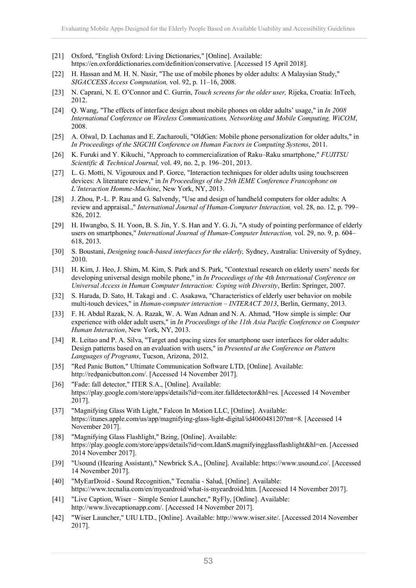- [21] Oxford, "English Oxford: Living Dictionaries," [Online]. Available: https://en.oxforddictionaries.com/definition/conservative. [Accessed 15 April 2018].
- [22] H. Hassan and M. H. N. Nasir, "The use of mobile phones by older adults: A Malaysian Study," *SIGACCESS Access Computation,* vol. 92, p. 11–16, 2008.
- [23] N. Caprani, N. E. O'Connor and C. Gurrin, *Touch screens for the older user,* Rijeka, Croatia: InTech, 2012.
- [24] Q. Wang, "The effects of interface design about mobile phones on older adults' usage," in *In 2008 International Conference on Wireless Communications, Networking and Mobile Computing, WiCOM*, 2008.
- [25] A. Olwal, D. Lachanas and E. Zacharouli, "OldGen: Mobile phone personalization for older adults," in *In Proceedings of the SIGCHI Conference on Human Factors in Computing Systems*, 2011.
- [26] K. Furuki and Y. Kikuchi, "Approach to commercialization of Raku–Raku smartphone," *FUJITSU Scientific & Technical Journal,* vol. 49, no. 2, p. 196–201, 2013.
- [27] L. G. Motti, N. Vigouroux and P. Gorce, "Interaction techniques for older adults using touchscreen devices: A literature review," in *In Proceedings of the 25th IEME Conference Francophone on L'Interaction Homme-Machine*, New York, NY, 2013.
- [28] J. Zhou, P.-L. P. Rau and G. Salvendy, "Use and design of handheld computers for older adults: A review and appraisal.," *International Journal of Human-Computer Interaction,* vol. 28, no. 12, p. 799– 826, 2012.
- [29] H. Hwangbo, S. H. Yoon, B. S. Jin, Y. S. Han and Y. G. Ji, "A study of pointing performance of elderly users on smartphones," *International Journal of Human-Computer Interaction,* vol. 29, no. 9, p. 604– 618, 2013.
- [30] S. Boustani, *Designing touch-based interfaces for the elderly,* Sydney, Australia: University of Sydney, 2010.
- [31] H. Kim, J. Heo, J. Shim, M. Kim, S. Park and S. Park, "Contextual research on elderly users' needs for developing universal design mobile phone," in *In Proceedings of the 4th International Conference on Universal Access in Human Computer Interaction: Coping with Diversity*, Berlin: Springer, 2007.
- [32] S. Harada, D. Sato, H. Takagi and . C. Asakawa, "Characteristics of elderly user behavior on mobile multi-touch devices," in *Human-computer interaction – INTERACT 2013*, Berlin, Germany, 2013.
- [33] F. H. Abdul Razak, N. A. Razak, W. A. Wan Adnan and N. A. Ahmad, "How simple is simple: Our experience with older adult users," in *In Proceedings of the 11th Asia Pacific Conference on Computer Human Interaction*, New York, NY, 2013.
- [34] R. Leitao and P. A. Silva, "Target and spacing sizes for smartphone user interfaces for older adults: Design patterns based on an evaluation with users," in *Presented at the Conference on Pattern Languages of Programs*, Tucson, Arizona, 2012.
- [35] "Red Panic Button," Ultimate Communication Software LTD, [Online]. Available: http://redpanicbutton.com/. [Accessed 14 November 2017].
- [36] "Fade: fall detector," ITER S.A., [Online]. Available: https://play.google.com/store/apps/details?id=com.iter.falldetector&hl=es. [Accessed 14 November 2017].
- [37] "Magnifying Glass With Light," Falcon In Motion LLC, [Online]. Available: https://itunes.apple.com/us/app/magnifying-glass-light-digital/id406048120?mt=8. [Accessed 14 November 2017].
- [38] "Magnifying Glass Flashlight," Bzing, [Online]. Available: https://play.google.com/store/apps/details?id=com.IdanS.magnifyingglassflashlight&hl=en. [Accessed 2014 November 2017].
- [39] "Usound (Hearing Assistant)," Newbrick S.A., [Online]. Available: https://www.usound.co/. [Accessed 14 November 2017].
- [40] "MyEarDroid Sound Recognition," Tecnalia Salud, [Online]. Available: https://www.tecnalia.com/en/myeardroid/what-is-myeardroid.htm. [Accessed 14 November 2017].
- [41] "Live Caption, Wiser Simple Senior Launcher," RyFly, [Online]. Available: http://www.livecaptionapp.com/. [Accessed 14 November 2017].
- [42] "Wiser Launcher," UIU LTD., [Online]. Available: http://www.wiser.site/. [Accessed 2014 November 2017].